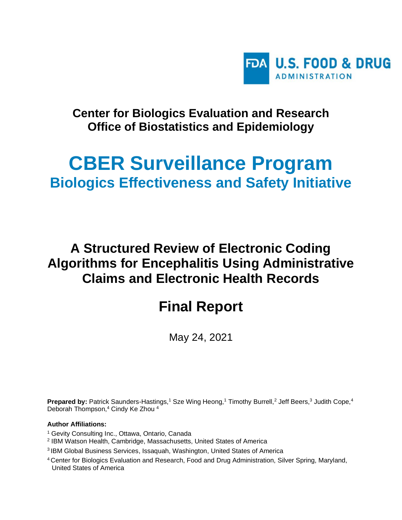

# **Center for Biologics Evaluation and Research Office of Biostatistics and Epidemiology**

# **CBER Surveillance Program Biologics Effectiveness and Safety Initiative**

# **A Structured Review of Electronic Coding Algorithms for Encephalitis Using Administrative Claims and Electronic Health Records**

# **Final Report**

May 24, 2021

**Prepared by:** Patrick Saunders-Hastings,<sup>1</sup> Sze Wing Heong,<sup>1</sup> Timothy Burrell,<sup>2</sup> Jeff Beers,<sup>3</sup> Judith Cope,<sup>4</sup> Deborah Thompson,<sup>4</sup> Cindy Ke Zhou<sup>4</sup>

### **Author Affiliations:**

- <sup>1</sup> Gevity Consulting Inc., Ottawa, Ontario, Canada
- 2 IBM Watson Health, Cambridge, Massachusetts, United States of America
- <sup>3</sup> IBM Global Business Services, Issaquah, Washington, United States of America
- <sup>4</sup>Center for Biologics Evaluation and Research, Food and Drug Administration, Silver Spring, Maryland, United States of America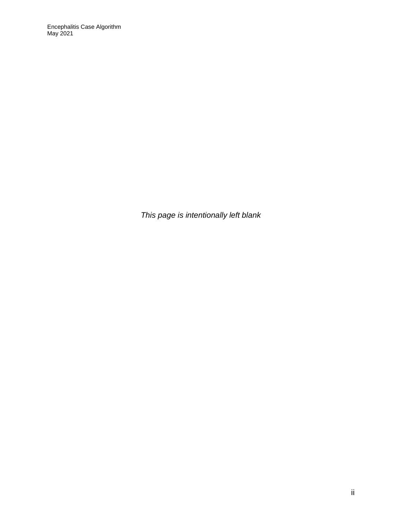*This page is intentionally left blank*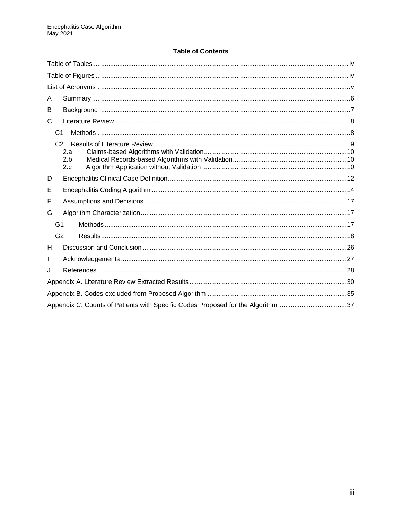## **Table of Contents**

| A                                                                               |
|---------------------------------------------------------------------------------|
| B                                                                               |
| C                                                                               |
| C <sub>1</sub>                                                                  |
| C <sub>2</sub><br>2.a<br>2.h<br>2.c                                             |
| D                                                                               |
| Е                                                                               |
| F                                                                               |
| G                                                                               |
| G <sub>1</sub>                                                                  |
| G <sub>2</sub>                                                                  |
| H                                                                               |
| L                                                                               |
| J                                                                               |
|                                                                                 |
|                                                                                 |
| Appendix C. Counts of Patients with Specific Codes Proposed for the Algorithm37 |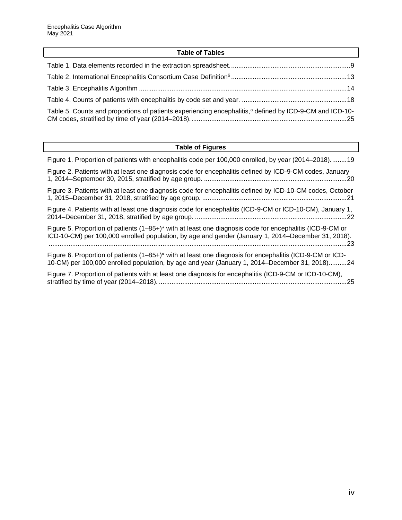## **Table of Tables**

<span id="page-3-0"></span>

| Table 5. Counts and proportions of patients experiencing encephalitis, <sup>a</sup> defined by ICD-9-CM and ICD-10- |  |
|---------------------------------------------------------------------------------------------------------------------|--|

## **Table of Figures**

<span id="page-3-1"></span>

| Figure 1. Proportion of patients with encephalitis code per 100,000 enrolled, by year (2014–2018)19                                                                                                                    |
|------------------------------------------------------------------------------------------------------------------------------------------------------------------------------------------------------------------------|
| Figure 2. Patients with at least one diagnosis code for encephalitis defined by ICD-9-CM codes, January                                                                                                                |
| Figure 3. Patients with at least one diagnosis code for encephalitis defined by ICD-10-CM codes, October                                                                                                               |
| Figure 4. Patients with at least one diagnosis code for encephalitis (ICD-9-CM or ICD-10-CM), January 1,                                                                                                               |
| Figure 5. Proportion of patients (1–85+)* with at least one diagnosis code for encephalitis (ICD-9-CM or<br>ICD-10-CM) per 100,000 enrolled population, by age and gender (January 1, 2014–December 31, 2018).<br>. 23 |
| Figure 6. Proportion of patients (1–85+)* with at least one diagnosis for encephalitis (ICD-9-CM or ICD-<br>10-CM) per 100,000 enrolled population, by age and year (January 1, 2014–December 31, 2018)24              |
| Figure 7. Proportion of patients with at least one diagnosis for encephalitis (ICD-9-CM or ICD-10-CM),                                                                                                                 |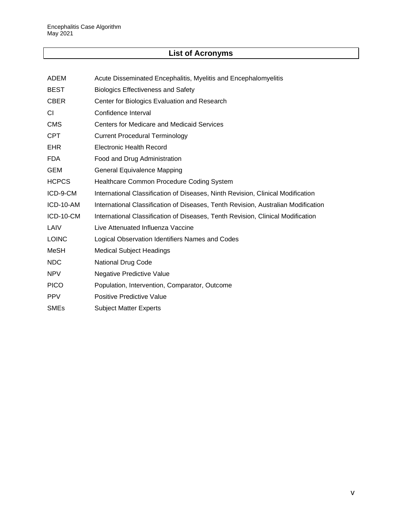# **List of Acronyms**

<span id="page-4-0"></span>

| ADEM         | Acute Disseminated Encephalitis, Myelitis and Encephalomyelitis                   |
|--------------|-----------------------------------------------------------------------------------|
| <b>BEST</b>  | <b>Biologics Effectiveness and Safety</b>                                         |
| <b>CBER</b>  | Center for Biologics Evaluation and Research                                      |
| СI           | Confidence Interval                                                               |
| <b>CMS</b>   | <b>Centers for Medicare and Medicaid Services</b>                                 |
| CPT          | <b>Current Procedural Terminology</b>                                             |
| <b>EHR</b>   | <b>Electronic Health Record</b>                                                   |
| FDA          | Food and Drug Administration                                                      |
| GEM          | <b>General Equivalence Mapping</b>                                                |
| <b>HCPCS</b> | Healthcare Common Procedure Coding System                                         |
| ICD-9-CM     | International Classification of Diseases, Ninth Revision, Clinical Modification   |
| ICD-10-AM    | International Classification of Diseases, Tenth Revision, Australian Modification |
| ICD-10-CM    | International Classification of Diseases, Tenth Revision, Clinical Modification   |
| LAIV         | Live Attenuated Influenza Vaccine                                                 |
| LOINC        | Logical Observation Identifiers Names and Codes                                   |
| <b>MeSH</b>  | <b>Medical Subject Headings</b>                                                   |
| <b>NDC</b>   | <b>National Drug Code</b>                                                         |
| NPV          | Negative Predictive Value                                                         |
| <b>PICO</b>  | Population, Intervention, Comparator, Outcome                                     |
| PPV.         | <b>Positive Predictive Value</b>                                                  |
| <b>SMEs</b>  | <b>Subject Matter Experts</b>                                                     |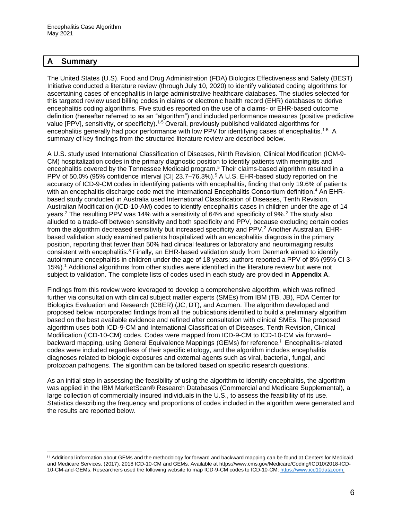## <span id="page-5-0"></span>**A Summary**

The United States (U.S). Food and Drug Administration (FDA) Biologics Effectiveness and Safety (BEST) Initiative conducted a literature review (through July 10, 2020) to identify validated coding algorithms for ascertaining cases of encephalitis in large administrative healthcare databases. The studies selected for this targeted review used billing codes in claims or electronic health record (EHR) databases to derive encephalitis coding algorithms. Five studies reported on the use of a claims- or EHR-based outcome definition (hereafter referred to as an "algorithm") and included performance measures (positive predictive value [PPV], sensitivity, or specificity). [1-5](#page-27-1) Overall, previously published validated algorithms for encephalitis generally had poor performance with low PPV for identifying cases of encephalitis.<sup>[1-5](#page-27-1)</sup> A summary of key findings from the structured literature review are described below.

A U.S. study used International Classification of Diseases, Ninth Revision, Clinical Modification (ICM-9- CM) hospitalization codes in the primary diagnostic position to identify patients with meningitis and encephalitis covered by the Tennessee Medicaid program.<sup>[5](#page-27-2)</sup> Their claims-based algorithm resulted in a PPV of [5](#page-27-2)0.0% (95% confidence interval [CI] 23.7–76.3%).<sup>5</sup> A U.S. EHR-based study reported on the accuracy of ICD-9-CM codes in identifying patients with encephalitis, finding that only 19.6% of patients with an encephalitis discharge code met the International Encephalitis Consortium definition.<sup>[4](#page-27-3)</sup> An EHRbased study conducted in Australia used International Classification of Diseases, Tenth Revision, Australian Modification (ICD-10-AM) codes to identify encephalitis cases in children under the age of 14 years.<sup>[2](#page-27-4)</sup> The resulting PPV was 14% with a sensitivity of 64% and specificity of 9%.<sup>2</sup> The study also alluded to a trade-off between sensitivity and both specificity and PPV, because excluding certain codes from the algorithm decreased sensitivity but increased specificity and PPV.[2](#page-27-4) Another Australian, EHRbased validation study examined patients hospitalized with an encephalitis diagnosis in the primary position, reporting that fewer than 50% had clinical features or laboratory and neuroimaging results consistent with encephalitis.<sup>[3](#page-27-5)</sup> Finally, an EHR-based validation study from Denmark aimed to identify autoimmune encephalitis in children under the age of 18 years; authors reported a PPV of 8% (95% CI 3- 15%).[1](#page-27-1) Additional algorithms from other studies were identified in the literature review but were not subject to validation. The complete lists of codes used in each study are provided in **Appendix A**.

Findings from this review were leveraged to develop a comprehensive algorithm, which was refined further via consultation with clinical subject matter experts (SMEs) from IBM (TB, JB), FDA Center for Biologics Evaluation and Research (CBER) (JC, DT), and Acumen. The algorithm developed and proposed below incorporated findings from all the publications identified to build a preliminary algorithm based on the best available evidence and refined after consultation with clinical SMEs. The proposed algorithm uses both ICD-9-CM and International Classification of Diseases, Tenth Revision, Clinical Modification (ICD-10-CM) codes. Codes were mapped from ICD-9-CM to ICD-10-CM via forward– backward mapping, using General Equivalence Mappings (GEMs) for reference.<sup>i</sup> Encephalitis-related codes were included regardless of their specific etiology, and the algorithm includes encephalitis diagnoses related to biologic exposures and external agents such as viral, bacterial, fungal, and protozoan pathogens. The algorithm can be tailored based on specific research questions.

As an initial step in assessing the feasibility of using the algorithm to identify encephalitis, the algorithm was applied in the IBM MarketScan® Research Databases (Commercial and Medicare Supplemental), a large collection of commercially insured individuals in the U.S., to assess the feasibility of its use. Statistics describing the frequency and proportions of codes included in the algorithm were generated and the results are reported below.

<sup>&</sup>lt;sup>i i</sup> Additional information about GEMs and the methodology for forward and backward mapping can be found at Centers for Medicaid and Medicare Services. (2017). 2018 ICD-10-CM and GEMs. Available at https://www.cms.gov/Medicare/Coding/ICD10/2018-ICD-10-CM-and-GEMs. Researchers used the following website to map ICD-9-CM codes to ICD-10-CM[: https://www.icd10data.com.](https://www.icd10data.com/)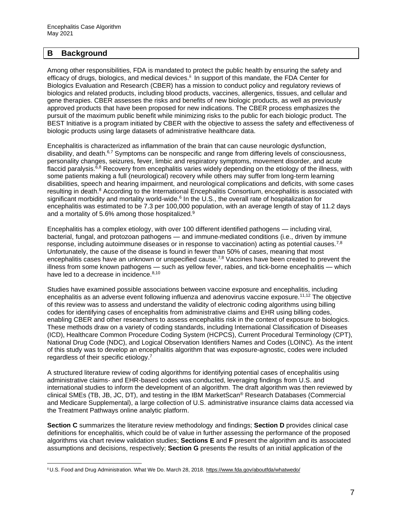## <span id="page-6-0"></span>**B Background**

Among other responsibilities, FDA is mandated to protect the public health by ensuring the safety and efficacy of drugs, biologics, and medical devices.<sup>ii</sup> In support of this mandate, the FDA Center for Biologics Evaluation and Research (CBER) has a mission to conduct policy and regulatory reviews of biologics and related products, including blood products, vaccines, allergenics, tissues, and cellular and gene therapies. CBER assesses the risks and benefits of new biologic products, as well as previously approved products that have been proposed for new indications. The CBER process emphasizes the pursuit of the maximum public benefit while minimizing risks to the public for each biologic product. The BEST Initiative is a program initiated by CBER with the objective to assess the safety and effectiveness of biologic products using large datasets of administrative healthcare data.

Encephalitis is characterized as inflammation of the brain that can cause neurologic dysfunction, disability, and death.<sup>[6,](#page-27-6)[7](#page-27-7)</sup> Symptoms can be nonspecific and range from differing levels of consciousness, personality changes, seizures, fever, limbic and respiratory symptoms, movement disorder, and acute flaccid paralysis.[6,](#page-27-6)[8](#page-27-8) Recovery from encephalitis varies widely depending on the etiology of the illness, with some patients making a full (neurological) recovery while others may suffer from long-term learning disabilities, speech and hearing impairment, and neurological complications and deficits, with some cases resulting in death.<sup>[8](#page-27-8)</sup> According to the International Encephalitis Consortium, encephalitis is associated with significant morbidity and mortality world-wide.<sup>[6](#page-27-6)</sup> In the U.S., the overall rate of hospitalization for encephalitis was estimated to be 7.3 per 100,000 population, with an average length of stay of 11.2 days and a mortality of 5.6% among those hospitalized.<sup>[9](#page-27-9)</sup>

Encephalitis has a complex etiology, with over 100 different identified pathogens — including viral, bacterial, fungal, and protozoan pathogens — and immune-mediated conditions (i.e., driven by immune response, including autoimmune diseases or in response to vaccination) acting as potential causes.<sup>[7,](#page-27-7)[8](#page-27-8)</sup> Unfortunately, the cause of the disease is found in fewer than 50% of cases, meaning that most encephalitis cases have an unknown or unspecified cause.<sup>[7,](#page-27-7)[8](#page-27-8)</sup> Vaccines have been created to prevent the illness from some known pathogens — such as yellow fever, rabies, and tick-borne encephalitis — which have led to a decrease in incidence.<sup>[8,](#page-27-8)[10](#page-27-10)</sup>

Studies have examined possible associations between vaccine exposure and encephalitis, including encephalitis as an adverse event following influenza and adenovirus vaccine exposure.<sup>[11,](#page-27-11)[12](#page-27-12)</sup> The objective of this review was to assess and understand the validity of electronic coding algorithms using billing codes for identifying cases of encephalitis from administrative claims and EHR using billing codes, enabling CBER and other researchers to assess encephalitis risk in the context of exposure to biologics. These methods draw on a variety of coding standards, including International Classification of Diseases (ICD), Healthcare Common Procedure Coding System (HCPCS), Current Procedural Terminology (CPT), National Drug Code (NDC), and Logical Observation Identifiers Names and Codes (LOINC). As the intent of this study was to develop an encephalitis algorithm that was exposure-agnostic, codes were included regardless of their specific etiology.<sup>[7](#page-27-7)</sup>

A structured literature review of coding algorithms for identifying potential cases of encephalitis using administrative claims- and EHR-based codes was conducted, leveraging findings from U.S. and international studies to inform the development of an algorithm. The draft algorithm was then reviewed by clinical SMEs (TB, JB, JC, DT), and testing in the IBM MarketScan® Research Databases (Commercial and Medicare Supplemental), a large collection of U.S. administrative insurance claims data accessed via the Treatment Pathways online analytic platform.

**Section C** summarizes the literature review methodology and findings; **Section D** provides clinical case definitions for encephalitis, which could be of value in further assessing the performance of the proposed algorithms via chart review validation studies; **Sections E** and **F** present the algorithm and its associated assumptions and decisions, respectively; **Section G** presents the results of an initial application of the

ii U.S. Food and Drug Administration. What We Do. March 28, 2018.<https://www.fda.gov/aboutfda/whatwedo/>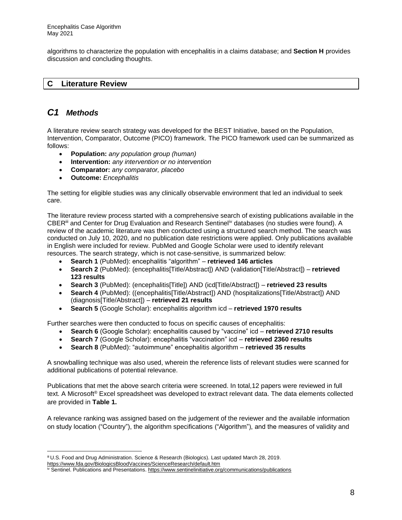algorithms to characterize the population with encephalitis in a claims database; and **Section H** provides discussion and concluding thoughts.

## <span id="page-7-0"></span>**C Literature Review**

# <span id="page-7-1"></span>*C1 Methods*

A literature review search strategy was developed for the BEST Initiative, based on the Population, Intervention, Comparator, Outcome (PICO) framework. The PICO framework used can be summarized as follows:

- **Population:** *any population group (human)*
- **Intervention:** *any intervention or no intervention*
- **Comparator:** *any comparator, placebo*
- **Outcome:** *Encephalitis*

The setting for eligible studies was any clinically observable environment that led an individual to seek care.

The literature review process started with a comprehensive search of existing publications available in the CBER<sup>iii</sup> and Center for Drug Evaluation and Research Sentinel<sup>iv</sup> databases (no studies were found). A review of the academic literature was then conducted using a structured search method. The search was conducted on July 10, 2020, and no publication date restrictions were applied. Only publications available in English were included for review. PubMed and Google Scholar were used to identify relevant resources. The search strategy, which is not case-sensitive, is summarized below:

- **Search 1** (PubMed): encephalitis "algorithm" **retrieved 146 articles**
- **Search 2** (PubMed): (encephalitis[Title/Abstract]) AND (validation[Title/Abstract]) **retrieved 123 results**
- **Search 3** (PubMed): (encephalitis[Title]) AND (icd[Title/Abstract]) **retrieved 23 results**
- **Search 4** (PubMed): ((encephalitis[Title/Abstract]) AND (hospitalizations[Title/Abstract]) AND (diagnosis[Title/Abstract]) – **retrieved 21 results**
- **Search 5** (Google Scholar): encephalitis algorithm icd **retrieved 1970 results**

Further searches were then conducted to focus on specific causes of encephalitis:

- **Search 6** (Google Scholar): encephalitis caused by "vaccine" icd **retrieved 2710 results**
- **Search 7** (Google Scholar): encephalitis "vaccination" icd **retrieved 2360 results**
- **Search 8** (PubMed): "autoimmune" encephalitis algorithm **retrieved 35 results**

A snowballing technique was also used, wherein the reference lists of relevant studies were scanned for additional publications of potential relevance.

Publications that met the above search criteria were screened. In total,12 papers were reviewed in full text. A Microsoft® Excel spreadsheet was developed to extract relevant data. The data elements collected are provided in **[Table 1.](#page-8-1)**

A relevance ranking was assigned based on the judgement of the reviewer and the available information on study location ("Country"), the algorithm specifications ("Algorithm"), and the measures of validity and

iii U.S. Food and Drug Administration. Science & Research (Biologics). Last updated March 28, 2019.

<https://www.fda.gov/BiologicsBloodVaccines/ScienceResearch/default.htm>

iv Sentinel. Publications and Presentations[. https://www.sentinelinitiative.org/communications/publications](https://www.sentinelinitiative.org/communications/publications)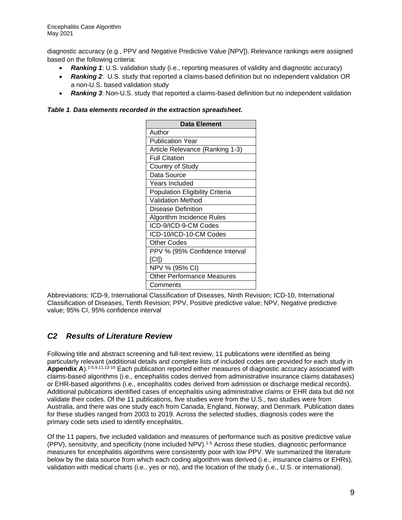diagnostic accuracy (e.g., PPV and Negative Predictive Value [NPV]). Relevance rankings were assigned based on the following criteria:

- *Ranking 1*: U.S. validation study (i.e., reporting measures of validity and diagnostic accuracy)
- *Ranking 2*: U.S. study that reported a claims-based definition but no independent validation OR a non-U.S. based validation study
- **Ranking 3:** Non-U.S. study that reported a claims-based definition but no independent validation

<span id="page-8-1"></span>*Table 1. Data elements recorded in the extraction spreadsheet.*

| Data Element                           |
|----------------------------------------|
| Author                                 |
| <b>Publication Year</b>                |
| Article Relevance (Ranking 1-3)        |
| <b>Full Citation</b>                   |
| Country of Study                       |
| Data Source                            |
| Years Included                         |
| <b>Population Eligibility Criteria</b> |
| <b>Validation Method</b>               |
| <b>Disease Definition</b>              |
| Algorithm Incidence Rules              |
| ICD-9/ICD-9-CM Codes                   |
| ICD-10/ICD-10-CM Codes                 |
| <b>Other Codes</b>                     |
| PPV % (95% Confidence Interval         |
| [CI])                                  |
| NPV % (95% CI)                         |
| <b>Other Performance Measures</b>      |
| Comments                               |

Abbreviations: ICD-9, International Classification of Diseases, Ninth Revision; ICD-10, International Classification of Diseases, Tenth Revision; PPV, Positive predictive value; NPV, Negative predictive value; 95% CI, 95% confidence interval

## <span id="page-8-0"></span>*C2 Results of Literature Review*

Following title and abstract screening and full-text review, 11 publications were identified as being particularly relevant (additional details and complete lists of included codes are provided for each study in Appendix A).<sup>[1-5,](#page-27-1)[9,](#page-27-9)[11,](#page-27-11)[13-16](#page-27-13)</sup> Each publication reported either measures of diagnostic accuracy associated with claims-based algorithms (i.e., encephalitis codes derived from administrative insurance claims databases) or EHR-based algorithms (i.e., encephalitis codes derived from admission or discharge medical records). Additional publications identified cases of encephalitis using administrative claims or EHR data but did not validate their codes. Of the 11 publications, five studies were from the U.S., two studies were from Australia, and there was one study each from Canada, England, Norway, and Denmark. Publication dates for these studies ranged from 2003 to 2019. Across the selected studies, diagnosis codes were the primary code sets used to identify encephalitis.

Of the 11 papers, five included validation and measures of performance such as positive predictive value (PPV), sensitivity, and specificity (none included NPV). [1-5](#page-27-1) Across these studies, diagnostic performance measures for encephalitis algorithms were consistently poor with low PPV. We summarized the literature below by the data source from which each coding algorithm was derived (i.e., insurance claims or EHRs), validation with medical charts (i.e., yes or no), and the location of the study (i.e., U.S. or international).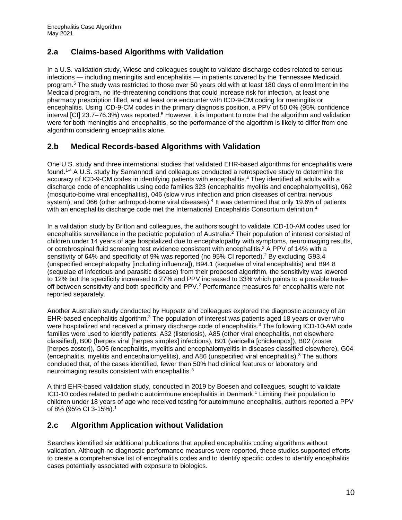## <span id="page-9-0"></span>**2.a Claims-based Algorithms with Validation**

In a U.S. validation study, Wiese and colleagues sought to validate discharge codes related to serious infections — including meningitis and encephalitis — in patients covered by the Tennessee Medicaid program.[5](#page-27-2) The study was restricted to those over 50 years old with at least 180 days of enrollment in the Medicaid program, no life-threatening conditions that could increase risk for infection, at least one pharmacy prescription filled, and at least one encounter with ICD-9-CM coding for meningitis or encephalitis. Using ICD-9-CM codes in the primary diagnosis position, a PPV of 50.0% (95% confidence interval  $\text{[CII]}$  23.7–76.3%) was reported.<sup>[5](#page-27-2)</sup> However, it is important to note that the algorithm and validation were for both meningitis and encephalitis, so the performance of the algorithm is likely to differ from one algorithm considering encephalitis alone.

## <span id="page-9-1"></span>**2.b Medical Records-based Algorithms with Validation**

One U.S. study and three international studies that validated EHR-based algorithms for encephalitis were found. [1-4](#page-27-1) A U.S. study by Samannodi and colleagues conducted a retrospective study to determine the accuracy of ICD-9-CM codes in identifying patients with encephalitis[.](#page-27-3)<sup>4</sup> They identified all adults with a discharge code of encephalitis using code families 323 (encephalitis myelitis and encephalomyelitis), 062 (mosquito-borne viral encephalitis), 046 (slow virus infection and prion diseases of central nervous system), and 066 (other arthropod-borne viral diseases)[.](#page-27-3)<sup>4</sup> It was determined that only 19.6% of patients with an encephalitis discharge code met the International Encephalitis Consortium definition.<sup>[4](#page-27-3)</sup>

In a validation study by Britton and colleagues, the authors sought to validate ICD-10-AM codes used for encephalitis surveillance in the pediatric population of Australia[.](#page-27-4)<sup>2</sup> Their population of interest consisted of children under 14 years of age hospitalized due to encephalopathy with symptoms, neuroimaging results, or cerebrospinal fluid screening test evidence consistent with encephalitis[.](#page-27-4)<sup>2</sup> A PPV of 14% with a sensitivity of 64% and specificity of 9% was reported (no 95% CI reported)[.](#page-27-4)<sup>2</sup> By excluding G93.4 (unspecified encephalopathy [including influenza]), B94.1 (sequelae of viral encephalitis) and B94.8 (sequelae of infectious and parasitic disease) from their proposed algorithm, the sensitivity was lowered to 12% but the specificity increased to 27% and PPV increased to 33% which points to a possible tradeoff between sensitivity and both specificity and PPV[.](#page-27-4)<sup>2</sup> Performance measures for encephalitis were not reported separately.

Another Australian study conducted by Huppatz and colleagues explored the diagnostic accuracy of an EHR-based encephalitis algorithm.<sup>[3](#page-27-5)</sup> The population of interest was patients aged 18 years or over who were hospitalized and received a primary discharge code of encephalitis.<sup>[3](#page-27-5)</sup> The following ICD-10-AM code families were used to identify patients: A32 (listeriosis), A85 (other viral encephalitis, not elsewhere classified), B00 (herpes viral [herpes simplex] infections), B01 (varicella [chickenpox]), B02 (zoster [herpes zoster]), G05 (encephalitis, myelitis and encephalomyelitis in diseases classified elsewhere), G04 (encephalitis, myelitis and encephalomyelitis), and A86 (unspecified viral encephalitis).[3](#page-27-5) The authors concluded that, of the cases identified, fewer than 50% had clinical features or laboratory and neuroimaging results consistent with encephalitis.<sup>[3](#page-27-5)</sup>

A third EHR-based validation study, conducted in 2019 by Boesen and colleagues, sought to validate ICD-10 codes related to pediatric autoimmune encephalitis in Denmark. [1](#page-27-1) Limiting their population to children under 18 years of age who received testing for autoimmune encephalitis, authors reported a PPV of 8% (95% CI 3-15%).[1](#page-27-1)

# <span id="page-9-2"></span>**2.c Algorithm Application without Validation**

Searches identified six additional publications that applied encephalitis coding algorithms without validation. Although no diagnostic performance measures were reported, these studies supported efforts to create a comprehensive list of encephalitis codes and to identify specific codes to identify encephalitis cases potentially associated with exposure to biologics.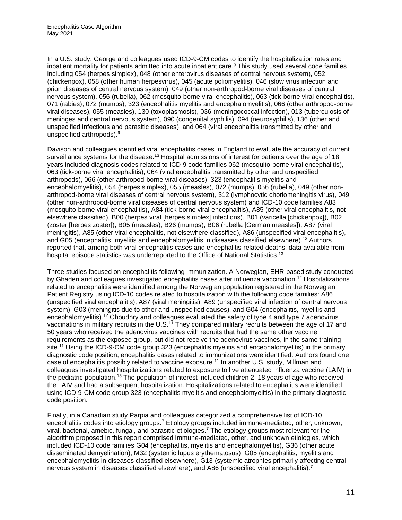In a U.S. study, George and colleagues used ICD-9-CM codes to identify the hospitalization rates and inpatient mortality for patients admitted into acute inpatient care.<sup>[9](#page-27-9)</sup> This study used several code families including 054 (herpes simplex), 048 (other enterovirus diseases of central nervous system), 052 (chickenpox), 058 (other human herpesvirus), 045 (acute poliomyelitis), 046 (slow virus infection and prion diseases of central nervous system), 049 (other non-arthropod-borne viral diseases of central nervous system), 056 (rubella), 062 (mosquito-borne viral encephalitis), 063 (tick-borne viral encephalitis), 071 (rabies), 072 (mumps), 323 (encephalitis myelitis and encephalomyelitis), 066 (other arthropod-borne viral diseases), 055 (measles), 130 (toxoplasmosis), 036 (meningococcal infection), 013 (tuberculosis of meninges and central nervous system), 090 (congenital syphilis), 094 (neurosyphilis), 136 (other and unspecified infectious and parasitic diseases), and 064 (viral encephalitis transmitted by other and unspecified arthropods). [9](#page-27-9)

Davison and colleagues identified viral encephalitis cases in England to evaluate the accuracy of current surveillance systems for the disease.<sup>[13](#page-27-13)</sup> Hospital admissions of interest for patients over the age of 18 years included diagnosis codes related to ICD-9 code families 062 (mosquito-borne viral encephalitis), 063 (tick-borne viral encephalitis), 064 (viral encephalitis transmitted by other and unspecified arthropods), 066 (other arthropod-borne viral diseases), 323 (encephalitis myelitis and encephalomyelitis), 054 (herpes simplex), 055 (measles), 072 (mumps), 056 (rubella), 049 (other nonarthropod-borne viral diseases of central nervous system), 312 (lymphocytic choriomeningitis virus), 049 (other non-arthropod-borne viral diseases of central nervous system) and ICD-10 code families A83 (mosquito-borne viral encephalitis), A84 (tick-borne viral encephalitis), A85 (other viral encephalitis, not elsewhere classified), B00 (herpes viral [herpes simplex] infections), B01 (varicella [chickenpox]), B02 (zoster [herpes zoster]), B05 (measles), B26 (mumps), B06 (rubella [German measles]), A87 (viral meningitis), A85 (other viral encephalitis, not elsewhere classified), A86 (unspecified viral encephalitis), and G05 (encephalitis, myelitis and encephalomyelitis in diseases classified elsewhere). [13](#page-27-13) Authors reported that, among both viral encephalitis cases and encephalitis-related deaths, data available from hospital episode statistics was underreported to the Office of National Statistics.<sup>[13](#page-27-13)</sup>

Three studies focused on encephalitis following immunization. A Norwegian, EHR-based study conducted by Ghaderi and colleagues investigated encephalitis cases after influenza vaccination.<sup>[12](#page-27-12)</sup> Hospitalizations related to encephalitis were identified among the Norwegian population registered in the Norwegian Patient Registry using ICD-10 codes related to hospitalization with the following code families: A86 (unspecified viral encephalitis), A87 (viral meningitis), A89 (unspecified viral infection of central nervous system), G03 (meningitis due to other and unspecified causes), and G04 (encephalitis, myelitis and encephalomyelitis).<sup>[12](#page-27-12)</sup> Choudhry and colleagues evaluated the safety of type 4 and type 7 adenovirus vaccinations in military recruits in the U.S.<sup>[11](#page-27-11)</sup> They compared military recruits between the age of 17 and 50 years who received the adenovirus vaccines with recruits that had the same other vaccine requirements as the exposed group, but did not receive the adenovirus vaccines, in the same training site.<sup>[11](#page-27-11)</sup> Using the ICD-9-CM code group 323 (encephalitis myelitis and encephalomyelitis) in the primary diagnostic code position, encephalitis cases related to immunizations were identified. Authors found one case of encephalitis possibly related to vaccine exposure.<sup>[11](#page-27-11)</sup> In another U.S. study, Millman and colleagues investigated hospitalizations related to exposure to live attenuated influenza vaccine (LAIV) in the pediatric population.<sup>[15](#page-27-14)</sup> The population of interest included children 2–18 years of age who received the LAIV and had a subsequent hospitalization. Hospitalizations related to encephalitis were identified using ICD-9-CM code group 323 (encephalitis myelitis and encephalomyelitis) in the primary diagnostic code position.

Finally, in a Canadian study Parpia and colleagues categorized a comprehensive list of ICD-10 encephalitis codes into etiology groups.<sup>[7](#page-27-7)</sup> Etiology groups included immune-mediated, other, unknown, viral, bacterial, amebic, fungal, and parasitic etiologies.[7](#page-27-7) The etiology groups most relevant for the algorithm proposed in this report comprised immune-mediated, other, and unknown etiologies, which included ICD-10 code families G04 (encephalitis, myelitis and encephalomyelitis), G36 (other acute disseminated demyelination), M32 (systemic lupus erythematosus), G05 (encephalitis, myelitis and encephalomyelitis in diseases classified elsewhere), G13 (systemic atrophies primarily affecting central nervous system in diseases classified elsewhere), and A86 (unspecified viral encephalitis[\).](#page-27-7)<sup>7</sup>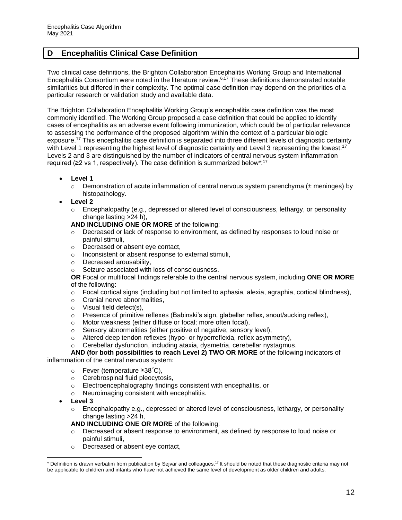# <span id="page-11-0"></span>**D Encephalitis Clinical Case Definition**

Two clinical case definitions, the Brighton Collaboration Encephalitis Working Group and International Encephalitis Consortium were noted in the literature review.<sup>[6,](#page-27-6)[17](#page-27-15)</sup> These definitions demonstrated notable similarities but differed in their complexity. The optimal case definition may depend on the priorities of a particular research or validation study and available data.

The Brighton Collaboration Encephalitis Working Group's encephalitis case definition was the most commonly identified. The Working Group proposed a case definition that could be applied to identify cases of encephalitis as an adverse event following immunization, which could be of particular relevance to assessing the performance of the proposed algorithm within the context of a particular biologic exposure.<sup>[17](#page-27-15)</sup> This encephalitis case definition is separated into three different levels of diagnostic certainty with Level 1 representing the highest level of diagnostic certainty and Level 3 representing the lowest.<sup>[17](#page-27-15)</sup> Levels 2 and 3 are distinguished by the number of indicators of central nervous system inflammation required (≥2 vs 1, respectively). The case definition is summarized below<sup>v</sup>:<sup>[17](#page-27-15)</sup>

- **Level 1** 
	- $\circ$  Demonstration of acute inflammation of central nervous system parenchyma ( $\pm$  meninges) by histopathology.
- **Level 2** 
	- $\circ$  Encephalopathy (e.g., depressed or altered level of consciousness, lethargy, or personality change lasting >24 h),

**AND INCLUDING ONE OR MORE** of the following:

- o Decreased or lack of response to environment, as defined by responses to loud noise or painful stimuli,
- o Decreased or absent eye contact,
- o Inconsistent or absent response to external stimuli,
- o Decreased arousability,
- o Seizure associated with loss of consciousness.

**OR** Focal or multifocal findings referable to the central nervous system, including **ONE OR MORE**  of the following:

- $\circ$  Focal cortical signs (including but not limited to aphasia, alexia, agraphia, cortical blindness),
- o Cranial nerve abnormalities,
- o Visual field defect(s),
- $\circ$  Presence of primitive reflexes (Babinski's sign, glabellar reflex, snout/sucking reflex),
- o Motor weakness (either diffuse or focal; more often focal),
- o Sensory abnormalities (either positive of negative; sensory level),
- $\circ$  Altered deep tendon reflexes (hypo- or hyperreflexia, reflex asymmetry),
- $\circ$  Cerebellar dysfunction, including ataxia, dysmetria, cerebellar nystagmus.

#### **AND (for both possibilities to reach Level 2) TWO OR MORE** of the following indicators of inflammation of the central nervous system:

- o Fever (temperature ≥38◦C),
- o Cerebrospinal fluid pleocytosis,
- o Electroencephalography findings consistent with encephalitis, or
- o Neuroimaging consistent with encephalitis.
- **Level 3** 
	- $\circ$  Encephalopathy e.g., depressed or altered level of consciousness, lethargy, or personality change lasting >24 h,

#### **AND INCLUDING ONE OR MORE** of the following:

- o Decreased or absent response to environment, as defined by response to loud noise or painful stimuli,
- o Decreased or absent eye contact,

V Definition is drawn verbatim from publication by Sejvar and colleagues.<sup>17</sup> It should be noted that these diagnostic criteria may not be applicable to children and infants who have not achieved the same level of development as older children and adults.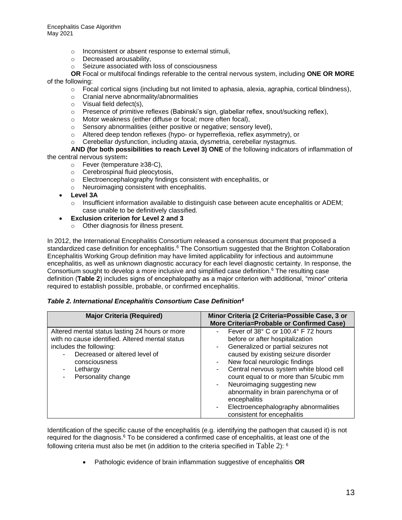- o Inconsistent or absent response to external stimuli,
- o Decreased arousability,
- o Seizure associated with loss of consciousness

**OR** Focal or multifocal findings referable to the central nervous system, including **ONE OR MORE** of the following:

- $\circ$  Focal cortical signs (including but not limited to aphasia, alexia, agraphia, cortical blindness),
- o Cranial nerve abnormality/abnormalities
- o Visual field defect(s),
- o Presence of primitive reflexes (Babinski's sign, glabellar reflex, snout/sucking reflex),
- o Motor weakness (either diffuse or focal; more often focal),
- o Sensory abnormalities (either positive or negative; sensory level),
- o Altered deep tendon reflexes (hypo- or hyperreflexia, reflex asymmetry), or
- $\circ$  Cerebellar dysfunction, including ataxia, dysmetria, cerebellar nystagmus.

**AND (for both possibilities to reach Level 3) ONE** of the following indicators of inflammation of the central nervous system**:**

- o Fever (temperature ≥38◦C),
- o Cerebrospinal fluid pleocytosis,
- o Electroencephalography findings consistent with encephalitis, or
- o Neuroimaging consistent with encephalitis.
- **Level 3A** 
	- $\circ$  Insufficient information available to distinguish case between acute encephalitis or ADEM; case unable to be definitively classified.
- **Exclusion criterion for Level 2 and 3**
	- o Other diagnosis for illness present.

In 2012, the International Encephalitis Consortium released a consensus document that proposed a standardized case definition for encephalitis.<sup>[6](#page-27-6)</sup> The Consortium suggested that the Brighton Collaboration Encephalitis Working Group definition may have limited applicability for infectious and autoimmune encephalitis, as well as unknown diagnostic accuracy for each level diagnostic certainty. In response, the Consortium sought to develop a more inclusive and simplified case definition.<sup>[6](#page-27-6)</sup> The resulting case definition (**[Table 2](#page-12-0)**) includes signs of encephalopathy as a major criterion with additional, "minor" criteria required to establish possible, probable, or confirmed encephalitis.

#### <span id="page-12-0"></span>*Table 2. International Encephalitis Consortium Case Definition[6](#page-27-6)*

| <b>Major Criteria (Required)</b>                                                                                                                                                                                 | Minor Criteria (2 Criteria=Possible Case, 3 or<br>More Criteria=Probable or Confirmed Case)                                                                                                                                                                                                                                                                                                                                                                                      |
|------------------------------------------------------------------------------------------------------------------------------------------------------------------------------------------------------------------|----------------------------------------------------------------------------------------------------------------------------------------------------------------------------------------------------------------------------------------------------------------------------------------------------------------------------------------------------------------------------------------------------------------------------------------------------------------------------------|
| Altered mental status lasting 24 hours or more<br>with no cause identified. Altered mental status<br>includes the following:<br>Decreased or altered level of<br>consciousness<br>Lethargy<br>Personality change | Fever of 38° C or 100.4° F 72 hours<br>$\sim$ 10 $\pm$<br>before or after hospitalization<br>Generalized or partial seizures not<br>۰<br>caused by existing seizure disorder<br>New focal neurologic findings<br>-<br>Central nervous system white blood cell<br>-<br>count equal to or more than 5/cubic mm<br>Neuroimaging suggesting new<br>۰<br>abnormality in brain parenchyma or of<br>encephalitis<br>Electroencephalography abnormalities<br>consistent for encephalitis |

Identification of the specific cause of the encephalitis (e.g. identifying the pathogen that caused it) is not required for the diagnosis[.](#page-27-6)<sup>6</sup> To be considered a confirmed case of encephalitis, at least one of the following criteria must also be met (in addition to the criteria specified in [Table 2](#page-12-0)):<sup>6</sup>

• Pathologic evidence of brain inflammation suggestive of encephalitis **OR**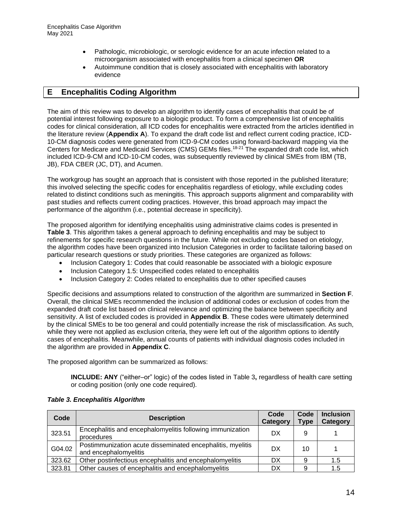- Pathologic, microbiologic, or serologic evidence for an acute infection related to a microorganism associated with encephalitis from a clinical specimen **OR**
- Autoimmune condition that is closely associated with encephalitis with laboratory evidence

# <span id="page-13-0"></span>**E Encephalitis Coding Algorithm**

The aim of this review was to develop an algorithm to identify cases of encephalitis that could be of potential interest following exposure to a biologic product. To form a comprehensive list of encephalitis codes for clinical consideration, all ICD codes for encephalitis were extracted from the articles identified in the literature review (**Appendix A**). To expand the draft code list and reflect current coding practice, ICD-10-CM diagnosis codes were generated from ICD-9-CM codes using forward-backward mapping via the Centers for Medicare and Medicaid Services (CMS) GEMs files. [18-21](#page-27-16) The expanded draft code list, which included ICD-9-CM and ICD-10-CM codes, was subsequently reviewed by clinical SMEs from IBM (TB, JB), FDA CBER (JC, DT), and Acumen.

The workgroup has sought an approach that is consistent with those reported in the published literature; this involved selecting the specific codes for encephalitis regardless of etiology, while excluding codes related to distinct conditions such as meningitis. This approach supports alignment and comparability with past studies and reflects current coding practices. However, this broad approach may impact the performance of the algorithm (i.e., potential decrease in specificity).

The proposed algorithm for identifying encephalitis using administrative claims codes is presented in **Table 3**. This algorithm takes a general approach to defining encephalitis and may be subject to refinements for specific research questions in the future. While not excluding codes based on etiology, the algorithm codes have been organized into Inclusion Categories in order to facilitate tailoring based on particular research questions or study priorities. These categories are organized as follows:

- Inclusion Category 1: Codes that could reasonable be associated with a biologic exposure
- Inclusion Category 1.5: Unspecified codes related to encephalitis
- Inclusion Category 2: Codes related to encephalitis due to other specified causes

Specific decisions and assumptions related to construction of the algorithm are summarized in **Section F**. Overall, the clinical SMEs recommended the inclusion of additional codes or exclusion of codes from the expanded draft code list based on clinical relevance and optimizing the balance between specificity and sensitivity. A list of excluded codes is provided in **Appendix B**. These codes were ultimately determined by the clinical SMEs to be too general and could potentially increase the risk of misclassification. As such, while they were not applied as exclusion criteria, they were left out of the algorithm options to identify cases of encephalitis. Meanwhile, annual counts of patients with individual diagnosis codes included in the algorithm are provided in **Appendix C**.

The proposed algorithm can be summarized as follows:

**INCLUDE: ANY** ("either–or" logic) of the codes listed in [Table 3](#page-13-1)**,** regardless of health care setting or coding position (only one code required).

| Code   | <b>Description</b>                                                                  | Code<br>Category | Code<br><b>Type</b> | <b>Inclusion</b><br>Category |
|--------|-------------------------------------------------------------------------------------|------------------|---------------------|------------------------------|
| 323.51 | Encephalitis and encephalomyelitis following immunization<br>procedures             | <b>DX</b>        | 9                   |                              |
| G04.02 | Postimmunization acute disseminated encephalitis, myelitis<br>and encephalomyelitis | DX               | 10                  |                              |
| 323.62 | Other postinfectious encephalitis and encephalomyelitis                             | DX               | 9                   | 1.5                          |
| 323.81 | Other causes of encephalitis and encephalomyelitis                                  | DX               | 9                   | 1.5                          |

### <span id="page-13-1"></span>*Table 3. Encephalitis Algorithm*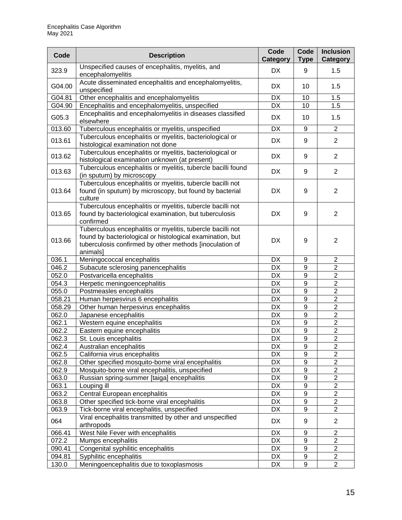| Code   | <b>Description</b>                                                                                                                                                                             | Code<br><b>Category</b> | Code<br><b>Type</b> | <b>Inclusion</b><br>Category |
|--------|------------------------------------------------------------------------------------------------------------------------------------------------------------------------------------------------|-------------------------|---------------------|------------------------------|
| 323.9  | Unspecified causes of encephalitis, myelitis, and<br>encephalomyelitis                                                                                                                         | <b>DX</b>               | 9                   | 1.5                          |
| G04.00 | Acute disseminated encephalitis and encephalomyelitis,<br>unspecified                                                                                                                          | <b>DX</b>               | 10                  | 1.5                          |
| G04.81 | Other encephalitis and encephalomyelitis                                                                                                                                                       | <b>DX</b>               | 10                  | 1.5                          |
| G04.90 | Encephalitis and encephalomyelitis, unspecified                                                                                                                                                | <b>DX</b>               | 10                  | 1.5                          |
| G05.3  | Encephalitis and encephalomyelitis in diseases classified<br>elsewhere                                                                                                                         | <b>DX</b>               | 10                  | 1.5                          |
| 013.60 | Tuberculous encephalitis or myelitis, unspecified                                                                                                                                              | <b>DX</b>               | 9                   | $\overline{2}$               |
| 013.61 | Tuberculous encephalitis or myelitis, bacteriological or<br>histological examination not done                                                                                                  | <b>DX</b>               | 9                   | $\overline{2}$               |
| 013.62 | Tuberculous encephalitis or myelitis, bacteriological or<br>histological examination unknown (at present)                                                                                      | <b>DX</b>               | 9                   | $\overline{2}$               |
| 013.63 | Tuberculous encephalitis or myelitis, tubercle bacilli found<br>(in sputum) by microscopy                                                                                                      | <b>DX</b>               | 9                   | $\overline{2}$               |
| 013.64 | Tuberculous encephalitis or myelitis, tubercle bacilli not<br>found (in sputum) by microscopy, but found by bacterial<br>culture                                                               | <b>DX</b>               | 9                   | $\overline{2}$               |
| 013.65 | Tuberculous encephalitis or myelitis, tubercle bacilli not<br>found by bacteriological examination, but tuberculosis<br>confirmed                                                              | <b>DX</b>               | 9                   | $\overline{2}$               |
| 013.66 | Tuberculous encephalitis or myelitis, tubercle bacilli not<br>found by bacteriological or histological examination, but<br>tuberculosis confirmed by other methods [inoculation of<br>animals] | <b>DX</b>               | 9                   | 2                            |
| 036.1  | Meningococcal encephalitis                                                                                                                                                                     | DX                      | 9                   | $\mathbf{2}$                 |
| 046.2  | Subacute sclerosing panencephalitis                                                                                                                                                            | $\overline{DX}$         | $\overline{9}$      | $\overline{2}$               |
| 052.0  | Postvaricella encephalitis                                                                                                                                                                     | <b>DX</b>               | 9                   | $\overline{2}$               |
| 054.3  | Herpetic meningoencephalitis                                                                                                                                                                   | <b>DX</b>               | $\overline{9}$      | $\overline{2}$               |
| 055.0  | Postmeasles encephalitis                                                                                                                                                                       | <b>DX</b>               | 9                   | $\overline{2}$               |
| 058.21 | Human herpesvirus 6 encephalitis                                                                                                                                                               | <b>DX</b>               | $\overline{9}$      | $\overline{2}$               |
| 058.29 | Other human herpesvirus encephalitis                                                                                                                                                           | <b>DX</b>               | 9                   | $\overline{2}$               |
| 062.0  | Japanese encephalitis                                                                                                                                                                          | <b>DX</b>               | 9                   | $\overline{2}$               |
| 062.1  | Western equine encephalitis                                                                                                                                                                    | <b>DX</b>               | 9                   | $\overline{2}$               |
| 062.2  | Eastern equine encephalitis                                                                                                                                                                    | DX                      | $\boldsymbol{9}$    | $\overline{2}$               |
| 062.3  | St. Louis encephalitis                                                                                                                                                                         | <b>DX</b>               | $\overline{9}$      | $\overline{2}$               |
| 062.4  | Australian encephalitis                                                                                                                                                                        | DX                      | 9                   | $\boldsymbol{2}$             |
| 062.5  | California virus encephalitis                                                                                                                                                                  | <b>DX</b>               | 9                   | $\overline{2}$               |
| 062.8  | Other specified mosquito-borne viral encephalitis                                                                                                                                              | <b>DX</b>               | $\boldsymbol{9}$    | $\overline{2}$               |
| 062.9  | Mosquito-borne viral encephalitis, unspecified                                                                                                                                                 | <b>DX</b>               | $\boldsymbol{9}$    | $\overline{2}$               |
| 063.0  | Russian spring-summer [taiga] encephalitis                                                                                                                                                     | <b>DX</b>               | 9                   | $\overline{2}$               |
| 063.1  | Louping ill                                                                                                                                                                                    | <b>DX</b>               | $\boldsymbol{9}$    | $\overline{2}$               |
| 063.2  | Central European encephalitis                                                                                                                                                                  | <b>DX</b>               | $\boldsymbol{9}$    | $\overline{2}$               |
| 063.8  | Other specified tick-borne viral encephalitis                                                                                                                                                  | <b>DX</b>               | $\boldsymbol{9}$    | $\overline{2}$               |
| 063.9  | Tick-borne viral encephalitis, unspecified                                                                                                                                                     | <b>DX</b>               | 9                   | $\overline{2}$               |
| 064    | Viral encephalitis transmitted by other and unspecified<br>arthropods                                                                                                                          | <b>DX</b>               | 9                   | 2                            |
| 066.41 | West Nile Fever with encephalitis                                                                                                                                                              | <b>DX</b>               | 9                   | $\overline{2}$               |
| 072.2  | Mumps encephalitis                                                                                                                                                                             | <b>DX</b>               | 9                   | $\overline{2}$               |
| 090.41 | Congenital syphilitic encephalitis                                                                                                                                                             | <b>DX</b>               | 9                   | $\overline{2}$               |
| 094.81 | Syphilitic encephalitis                                                                                                                                                                        | <b>DX</b>               | 9                   | $\overline{2}$               |
| 130.0  | Meningoencephalitis due to toxoplasmosis                                                                                                                                                       | <b>DX</b>               | 9                   | $\overline{2}$               |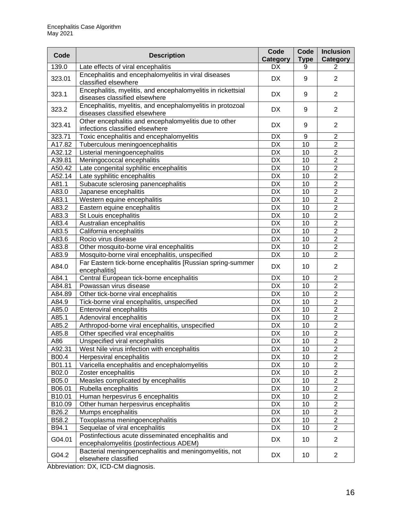| Code   | <b>Description</b>                                                                            | Code            | Code        | <b>Inclusion</b> |
|--------|-----------------------------------------------------------------------------------------------|-----------------|-------------|------------------|
|        |                                                                                               | <b>Category</b> | <b>Type</b> | Category         |
| 139.0  | Late effects of viral encephalitis                                                            | DX              | 9           | 2                |
| 323.01 | Encephalitis and encephalomyelitis in viral diseases<br>classified elsewhere                  | <b>DX</b>       | 9           | $\overline{2}$   |
| 323.1  | Encephalitis, myelitis, and encephalomyelitis in rickettsial<br>diseases classified elsewhere | <b>DX</b>       | 9           | $\overline{2}$   |
| 323.2  | Encephalitis, myelitis, and encephalomyelitis in protozoal<br>diseases classified elsewhere   | <b>DX</b>       | 9           | 2                |
| 323.41 | Other encephalitis and encephalomyelitis due to other<br>infections classified elsewhere      | DX              | 9           | 2                |
| 323.71 | Toxic encephalitis and encephalomyelitis                                                      | <b>DX</b>       | 9           | $\overline{2}$   |
| A17.82 | Tuberculous meningoencephalitis                                                               | <b>DX</b>       | 10          | $\overline{2}$   |
| A32.12 | Listerial meningoencephalitis                                                                 | <b>DX</b>       | 10          | $\overline{2}$   |
| A39.81 | Meningococcal encephalitis                                                                    | <b>DX</b>       | 10          | $\overline{2}$   |
| A50.42 | Late congenital syphilitic encephalitis                                                       | <b>DX</b>       | 10          | $\overline{2}$   |
| A52.14 | Late syphilitic encephalitis                                                                  | <b>DX</b>       | 10          | $\overline{2}$   |
| A81.1  | Subacute sclerosing panencephalitis                                                           | <b>DX</b>       | 10          | $\overline{2}$   |
| A83.0  | Japanese encephalitis                                                                         | <b>DX</b>       | 10          | $\overline{2}$   |
| A83.1  | Western equine encephalitis                                                                   | <b>DX</b>       | 10          | $\overline{2}$   |
| A83.2  | Eastern equine encephalitis                                                                   | <b>DX</b>       | 10          | $\overline{2}$   |
| A83.3  | St Louis encephalitis                                                                         | <b>DX</b>       | 10          | $\overline{2}$   |
| A83.4  | Australian encephalitis                                                                       | <b>DX</b>       | 10          | $\overline{2}$   |
| A83.5  | California encephalitis                                                                       | <b>DX</b>       | 10          | $\overline{2}$   |
| A83.6  | Rocio virus disease                                                                           | <b>DX</b>       | 10          | $\overline{2}$   |
| A83.8  | Other mosquito-borne viral encephalitis                                                       | <b>DX</b>       | 10          | $\overline{2}$   |
| A83.9  | Mosquito-borne viral encephalitis, unspecified                                                | <b>DX</b>       | 10          | $\overline{2}$   |
| A84.0  | Far Eastern tick-borne encephalitis [Russian spring-summer<br>encephalitis]                   |                 | 10          | $\overline{2}$   |
| A84.1  | Central European tick-borne encephalitis                                                      | <b>DX</b>       | 10          | $\overline{2}$   |
| A84.81 | Powassan virus disease                                                                        | <b>DX</b>       | 10          | $\overline{2}$   |
| A84.89 | Other tick-borne viral encephalitis                                                           | <b>DX</b>       | 10          | $\overline{2}$   |
| A84.9  | Tick-borne viral encephalitis, unspecified                                                    | <b>DX</b>       | 10          | $\overline{2}$   |
| A85.0  | Enteroviral encephalitis                                                                      | <b>DX</b>       | 10          | $\overline{2}$   |
| A85.1  | Adenoviral encephalitis                                                                       | <b>DX</b>       | 10          | $\overline{2}$   |
| A85.2  | Arthropod-borne viral encephalitis, unspecified                                               | <b>DX</b>       | 10          | $\overline{2}$   |
| A85.8  | Other specified viral encephalitis                                                            | DX              | 10          | $\overline{2}$   |
| A86    | Unspecified viral encephalitis                                                                | DX              | 10          | $\overline{2}$   |
| A92.31 | West Nile virus infection with encephalitis                                                   | DX              | 10          | $\overline{2}$   |
| B00.4  | Herpesviral encephalitis                                                                      | <b>DX</b>       | 10          | $\overline{2}$   |
| B01.11 | Varicella encephalitis and encephalomyelitis                                                  | <b>DX</b>       | 10          | $\overline{2}$   |
| B02.0  | Zoster encephalitis                                                                           | <b>DX</b>       | 10          | $\overline{2}$   |
| B05.0  | Measles complicated by encephalitis                                                           | <b>DX</b>       | 10          | $\overline{2}$   |
| B06.01 | Rubella encephalitis                                                                          | DX              | 10          | $\overline{2}$   |
| B10.01 | Human herpesvirus 6 encephalitis                                                              | <b>DX</b>       | 10          | $\overline{2}$   |
| B10.09 | Other human herpesvirus encephalitis                                                          | DX              | 10          | $\overline{2}$   |
| B26.2  | Mumps encephalitis                                                                            | <b>DX</b>       | 10          | $\overline{2}$   |
| B58.2  | Toxoplasma meningoencephalitis                                                                | DX              | 10          | $\overline{2}$   |
| B94.1  | Sequelae of viral encephalitis                                                                | <b>DX</b>       | 10          | $\overline{2}$   |
|        | Postinfectious acute disseminated encephalitis and                                            |                 |             |                  |
| G04.01 | encephalomyelitis (postinfectious ADEM)                                                       | <b>DX</b>       | 10          | $\overline{2}$   |
| G04.2  | Bacterial meningoencephalitis and meningomyelitis, not<br>elsewhere classified                | <b>DX</b>       | 10          | $\overline{2}$   |

Abbreviation: DX, ICD-CM diagnosis.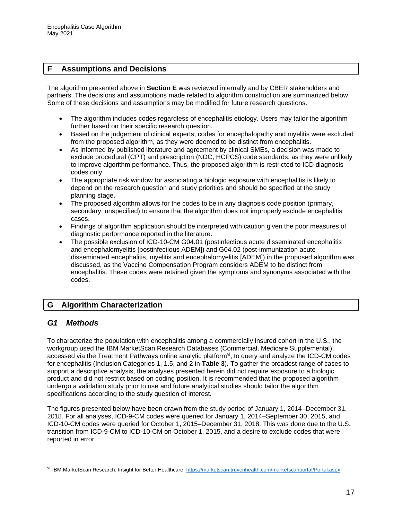## <span id="page-16-0"></span>**F Assumptions and Decisions**

The algorithm presented above in **Section E** was reviewed internally and by CBER stakeholders and partners. The decisions and assumptions made related to algorithm construction are summarized below. Some of these decisions and assumptions may be modified for future research questions.

- The algorithm includes codes regardless of encephalitis etiology. Users may tailor the algorithm further based on their specific research question.
- Based on the judgement of clinical experts, codes for encephalopathy and myelitis were excluded from the proposed algorithm, as they were deemed to be distinct from encephalitis.
- As informed by published literature and agreement by clinical SMEs, a decision was made to exclude procedural (CPT) and prescription (NDC, HCPCS) code standards, as they were unlikely to improve algorithm performance. Thus, the proposed algorithm is restricted to ICD diagnosis codes only.
- The appropriate risk window for associating a biologic exposure with encephalitis is likely to depend on the research question and study priorities and should be specified at the study planning stage.
- The proposed algorithm allows for the codes to be in any diagnosis code position (primary, secondary, unspecified) to ensure that the algorithm does not improperly exclude encephalitis cases.
- Findings of algorithm application should be interpreted with caution given the poor measures of diagnostic performance reported in the literature.
- The possible exclusion of ICD-10-CM G04.01 (postinfectious acute disseminated encephalitis and encephalomyelitis [postinfectious ADEM]) and G04.02 (post-immunization acute disseminated encephalitis, myelitis and encephalomyelitis [ADEM]) in the proposed algorithm was discussed, as the Vaccine Compensation Program considers ADEM to be distinct from encephalitis. These codes were retained given the symptoms and synonyms associated with the codes.

# <span id="page-16-1"></span>**G Algorithm Characterization**

## <span id="page-16-2"></span>*G1 Methods*

To characterize the population with encephalitis among a commercially insured cohort in the U.S., the workgroup used the IBM MarketScan Research Databases (Commercial, Medicare Supplemental), accessed via the Treatment Pathways online analytic platform<sup>vi</sup>, to query and analyze the ICD-CM codes for encephalitis (Inclusion Categories 1, 1.5, and 2 in **[Table 3](#page-13-1)**). To gather the broadest range of cases to support a descriptive analysis, the analyses presented herein did not require exposure to a biologic product and did not restrict based on coding position. It is recommended that the proposed algorithm undergo a validation study prior to use and future analytical studies should tailor the algorithm specifications according to the study question of interest.

The figures presented below have been drawn from the study period of January 1, 2014–December 31, 2018. For all analyses, ICD-9-CM codes were queried for January 1, 2014–September 30, 2015, and ICD-10-CM codes were queried for October 1, 2015–December 31, 2018. This was done due to the U.S. transition from ICD-9-CM to ICD-10-CM on October 1, 2015, and a desire to exclude codes that were reported in error.

vi IBM MarketScan Research. Insight for Better Healthcare. <https://marketscan.truvenhealth.com/marketscanportal/Portal.aspx>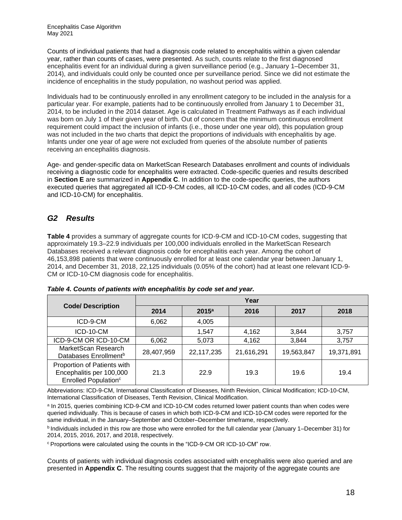Counts of individual patients that had a diagnosis code related to encephalitis within a given calendar year, rather than counts of cases, were presented. As such, counts relate to the first diagnosed encephalitis event for an individual during a given surveillance period (e.g., January 1–December 31, 2014), and individuals could only be counted once per surveillance period. Since we did not estimate the incidence of encephalitis in the study population, no washout period was applied.

Individuals had to be continuously enrolled in any enrollment category to be included in the analysis for a particular year. For example, patients had to be continuously enrolled from January 1 to December 31, 2014, to be included in the 2014 dataset. Age is calculated in Treatment Pathways as if each individual was born on July 1 of their given year of birth. Out of concern that the minimum continuous enrollment requirement could impact the inclusion of infants (i.e., those under one year old), this population group was not included in the two charts that depict the proportions of individuals with encephalitis by age. Infants under one year of age were not excluded from queries of the absolute number of patients receiving an encephalitis diagnosis.

Age- and gender-specific data on MarketScan Research Databases enrollment and counts of individuals receiving a diagnostic code for encephalitis were extracted. Code-specific queries and results described in **Section E** are summarized in **Appendix C**. In addition to the code-specific queries, the authors executed queries that aggregated all ICD-9-CM codes, all ICD-10-CM codes, and all codes (ICD-9-CM and ICD-10-CM) for encephalitis.

# <span id="page-17-0"></span>*G2 Results*

**[Table 4](#page-17-1)** provides a summary of aggregate counts for ICD-9-CM and ICD-10-CM codes, suggesting that approximately 19.3–22.9 individuals per 100,000 individuals enrolled in the MarketScan Research Databases received a relevant diagnosis code for encephalitis each year. Among the cohort of 46,153,898 patients that were continuously enrolled for at least one calendar year between January 1, 2014, and December 31, 2018, 22,125 individuals (0.05% of the cohort) had at least one relevant ICD-9- CM or ICD-10-CM diagnosis code for encephalitis.

| <b>Code/ Description</b>                                                                    | Year       |                |            |            |            |  |  |
|---------------------------------------------------------------------------------------------|------------|----------------|------------|------------|------------|--|--|
|                                                                                             | 2014       | $2015^{\circ}$ | 2016       | 2017       | 2018       |  |  |
| ICD-9-CM                                                                                    | 6,062      | 4,005          |            |            |            |  |  |
| ICD-10-CM                                                                                   |            | 1,547          | 4,162      | 3,844      | 3,757      |  |  |
| ICD-9-CM OR ICD-10-CM                                                                       | 6,062      | 5,073          | 4,162      | 3,844      | 3,757      |  |  |
| MarketScan Research<br>Databases Enrollment <sup>b</sup>                                    | 28,407,959 | 22,117,235     | 21,616,291 | 19,563,847 | 19,371,891 |  |  |
| Proportion of Patients with<br>Encephalitis per 100,000<br>Enrolled Population <sup>c</sup> | 21.3       | 22.9           | 19.3       | 19.6       | 19.4       |  |  |

<span id="page-17-1"></span>*Table 4. Counts of patients with encephalitis by code set and year.*

Abbreviations: ICD-9-CM, International Classification of Diseases, Ninth Revision, Clinical Modification; ICD-10-CM, International Classification of Diseases, Tenth Revision, Clinical Modification.

a In 2015, queries combining ICD-9-CM and ICD-10-CM codes returned lower patient counts than when codes were queried individually. This is because of cases in which both ICD-9-CM and ICD-10-CM codes were reported for the same individual, in the January–September and October–December timeframe, respectively.

b Individuals included in this row are those who were enrolled for the full calendar year (January 1–December 31) for 2014, 2015, 2016, 2017, and 2018, respectively.

<sup>c</sup> Proportions were calculated using the counts in the "ICD-9-CM OR ICD-10-CM" row.

Counts of patients with individual diagnosis codes associated with encephalitis were also queried and are presented in **Appendix C**. The resulting counts suggest that the majority of the aggregate counts are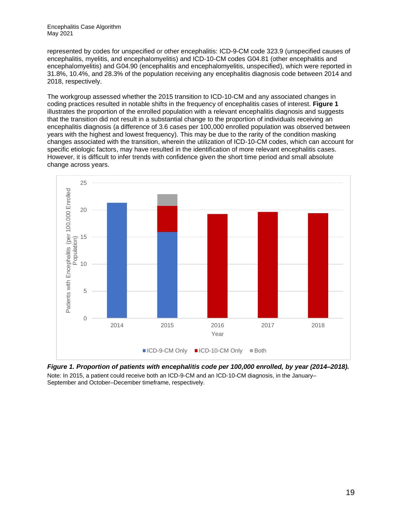represented by codes for unspecified or other encephalitis: ICD-9-CM code 323.9 (unspecified causes of encephalitis, myelitis, and encephalomyelitis) and ICD-10-CM codes G04.81 (other encephalitis and encephalomyelitis) and G04.90 (encephalitis and encephalomyelitis, unspecified), which were reported in 31.8%, 10.4%, and 28.3% of the population receiving any encephalitis diagnosis code between 2014 and 2018, respectively.

The workgroup assessed whether the 2015 transition to ICD-10-CM and any associated changes in coding practices resulted in notable shifts in the frequency of encephalitis cases of interest. **[Figure 1](#page-18-0)** illustrates the proportion of the enrolled population with a relevant encephalitis diagnosis and suggests that the transition did not result in a substantial change to the proportion of individuals receiving an encephalitis diagnosis (a difference of 3.6 cases per 100,000 enrolled population was observed between years with the highest and lowest frequency). This may be due to the rarity of the condition masking changes associated with the transition, wherein the utilization of ICD-10-CM codes, which can account for specific etiologic factors, may have resulted in the identification of more relevant encephalitis cases. However, it is difficult to infer trends with confidence given the short time period and small absolute change across years.



<span id="page-18-0"></span>*Figure 1. Proportion of patients with encephalitis code per 100,000 enrolled, by year (2014–2018).* Note: In 2015, a patient could receive both an ICD-9-CM and an ICD-10-CM diagnosis, in the January– September and October–December timeframe, respectively.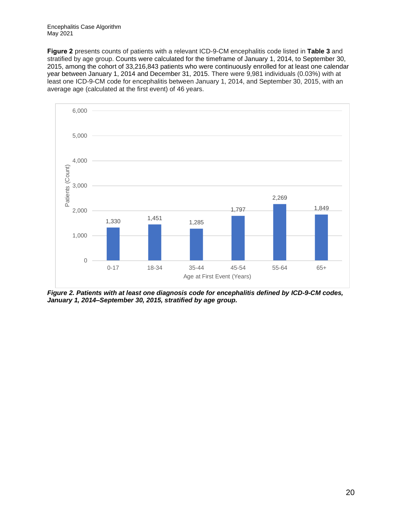**[Figure 2](#page-19-0)** presents counts of patients with a relevant ICD-9-CM encephalitis code listed in **[Table 3](#page-13-1)** and stratified by age group. Counts were calculated for the timeframe of January 1, 2014, to September 30, 2015, among the cohort of 33,216,843 patients who were continuously enrolled for at least one calendar year between January 1, 2014 and December 31, 2015. There were 9,981 individuals (0.03%) with at least one ICD-9-CM code for encephalitis between January 1, 2014, and September 30, 2015, with an average age (calculated at the first event) of 46 years.



<span id="page-19-0"></span>*Figure 2. Patients with at least one diagnosis code for encephalitis defined by ICD-9-CM codes, January 1, 2014–September 30, 2015, stratified by age group.*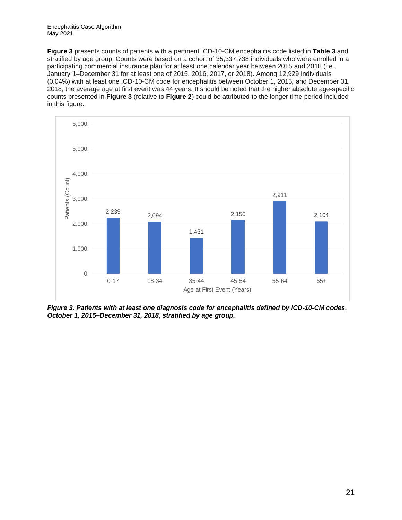**[Figure 3](#page-20-0)** presents counts of patients with a pertinent ICD-10-CM encephalitis code listed in **[Table 3](#page-13-1)** and stratified by age group. Counts were based on a cohort of 35,337,738 individuals who were enrolled in a participating commercial insurance plan for at least one calendar year between 2015 and 2018 (i.e., January 1–December 31 for at least one of 2015, 2016, 2017, or 2018). Among 12,929 individuals (0.04%) with at least one ICD-10-CM code for encephalitis between October 1, 2015, and December 31, 2018, the average age at first event was 44 years. It should be noted that the higher absolute age-specific counts presented in **[Figure 3](#page-20-0)** (relative to **[Figure 2](#page-19-0)**) could be attributed to the longer time period included in this figure.



<span id="page-20-0"></span>*Figure 3. Patients with at least one diagnosis code for encephalitis defined by ICD-10-CM codes, October 1, 2015–December 31, 2018, stratified by age group.*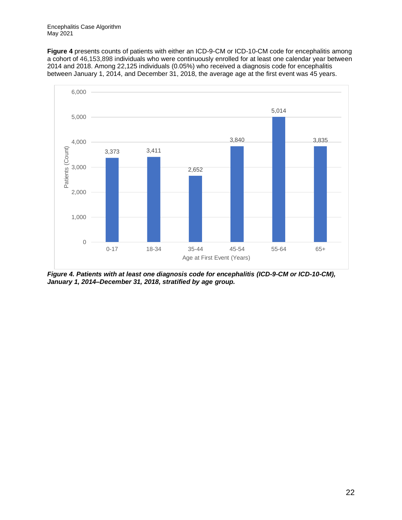**[Figure 4](#page-21-0)** presents counts of patients with either an ICD-9-CM or ICD-10-CM code for encephalitis among a cohort of 46,153,898 individuals who were continuously enrolled for at least one calendar year between 2014 and 2018. Among 22,125 individuals (0.05%) who received a diagnosis code for encephalitis between January 1, 2014, and December 31, 2018, the average age at the first event was 45 years.



<span id="page-21-0"></span>*Figure 4. Patients with at least one diagnosis code for encephalitis (ICD-9-CM or ICD-10-CM), January 1, 2014–December 31, 2018, stratified by age group.*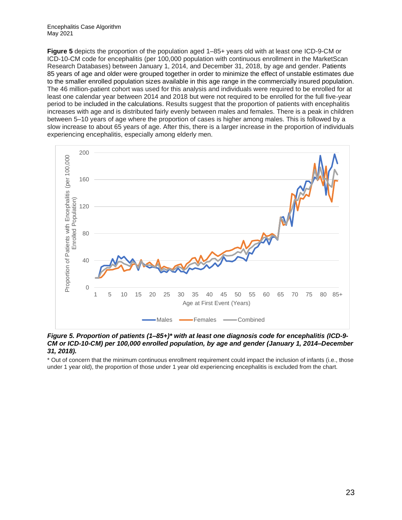**[Figure 5](#page-22-0)** depicts the proportion of the population aged 1–85+ years old with at least one ICD-9-CM or ICD-10-CM code for encephalitis (per 100,000 population with continuous enrollment in the MarketScan Research Databases) between January 1, 2014, and December 31, 2018, by age and gender. Patients 85 years of age and older were grouped together in order to minimize the effect of unstable estimates due to the smaller enrolled population sizes available in this age range in the commercially insured population. The 46 million-patient cohort was used for this analysis and individuals were required to be enrolled for at least one calendar year between 2014 and 2018 but were not required to be enrolled for the full five-year period to be included in the calculations. Results suggest that the proportion of patients with encephalitis increases with age and is distributed fairly evenly between males and females. There is a peak in children between 5–10 years of age where the proportion of cases is higher among males. This is followed by a slow increase to about 65 years of age. After this, there is a larger increase in the proportion of individuals experiencing encephalitis, especially among elderly men.



<span id="page-22-0"></span>*Figure 5. Proportion of patients (1–85+)\* with at least one diagnosis code for encephalitis (ICD-9- CM or ICD-10-CM) per 100,000 enrolled population, by age and gender (January 1, 2014–December 31, 2018).*

\* Out of concern that the minimum continuous enrollment requirement could impact the inclusion of infants (i.e., those under 1 year old), the proportion of those under 1 year old experiencing encephalitis is excluded from the chart.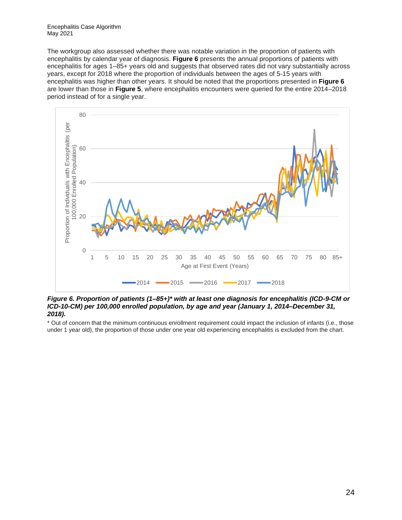The workgroup also assessed whether there was notable variation in the proportion of patients with encephalitis by calendar year of diagnosis. **[Figure 6](#page-23-0)** presents the annual proportions of patients with encephalitis for ages 1–85+ years old and suggests that observed rates did not vary substantially across years, except for 2018 where the proportion of individuals between the ages of 5-15 years with encephalitis was higher than other years. It should be noted that the proportions presented in **[Figure 6](#page-23-0)** are lower than those in **[Figure 5](#page-22-0)**, where encephalitis encounters were queried for the entire 2014–2018 period instead of for a single year.



<span id="page-23-0"></span>*Figure 6. Proportion of patients (1–85+)\* with at least one diagnosis for encephalitis (ICD-9-CM or ICD-10-CM) per 100,000 enrolled population, by age and year (January 1, 2014–December 31, 2018).*

\* Out of concern that the minimum continuous enrollment requirement could impact the inclusion of infants (i.e., those under 1 year old), the proportion of those under one year old experiencing encephalitis is excluded from the chart.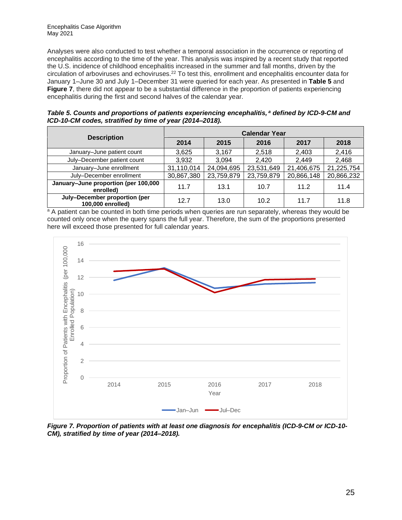Analyses were also conducted to test whether a temporal association in the occurrence or reporting of encephalitis according to the time of the year. This analysis was inspired by a recent study that reported the U.S. incidence of childhood encephalitis increased in the summer and fall months, driven by the circulation of arboviruses and echoviruses.[22](#page-28-0) To test this, enrollment and encephalitis encounter data for January 1–June 30 and July 1–December 31 were queried for each year. As presented in **[Table 5](#page-24-0)** and **[Figure 7](#page-24-1)**, there did not appear to be a substantial difference in the proportion of patients experiencing encephalitis during the first and second halves of the calendar year.

<span id="page-24-0"></span>*Table 5. Counts and proportions of patients experiencing encephalitis, <sup>a</sup> defined by ICD-9-CM and ICD-10-CM codes, stratified by time of year (2014–2018).*

| <b>Description</b>                                 | <b>Calendar Year</b> |            |            |            |            |  |
|----------------------------------------------------|----------------------|------------|------------|------------|------------|--|
|                                                    | 2014                 | 2015       | 2016       | 2017       | 2018       |  |
| January-June patient count                         | 3.625                | 3.167      | 2.518      | 2,403      | 2,416      |  |
| July-December patient count                        | 3,932                | 3,094      | 2.420      | 2,449      | 2,468      |  |
| January-June enrollment                            | 31,110,014           | 24,094,695 | 23,531,649 | 21,406,675 | 21,225,754 |  |
| July-December enrollment                           | 30,867,380           | 23,759,879 | 23,759,879 | 20,866,148 | 20,866,232 |  |
| January-June proportion (per 100,000<br>enrolled)  | 11.7                 | 13.1       | 10.7       | 11.2       | 11.4       |  |
| July-December proportion (per<br>100.000 enrolled) | 12.7                 | 13.0       | 10.2       | 11.7       | 11.8       |  |

<sup>a</sup> A patient can be counted in both time periods when queries are run separately, whereas they would be counted only once when the query spans the full year. Therefore, the sum of the proportions presented here will exceed those presented for full calendar years.



<span id="page-24-1"></span>*Figure 7. Proportion of patients with at least one diagnosis for encephalitis (ICD-9-CM or ICD-10- CM), stratified by time of year (2014–2018).*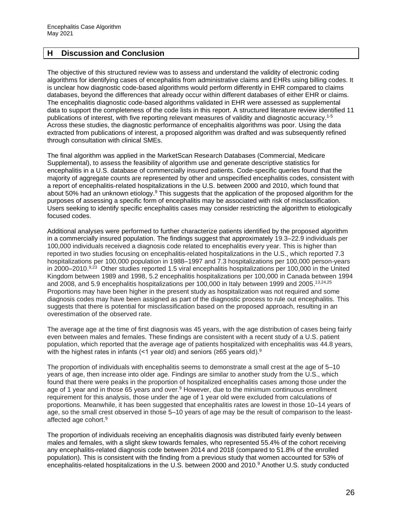## <span id="page-25-0"></span>**H Discussion and Conclusion**

The objective of this structured review was to assess and understand the validity of electronic coding algorithms for identifying cases of encephalitis from administrative claims and EHRs using billing codes. It is unclear how diagnostic code-based algorithms would perform differently in EHR compared to claims databases, beyond the differences that already occur within different databases of either EHR or claims. The encephalitis diagnostic code-based algorithms validated in EHR were assessed as supplemental data to support the completeness of the code lists in this report. A structured literature review identified 11 publications of interest, with five reporting relevant measures of validity and diagnostic accuracy. [1-5](#page-27-1) Across these studies, the diagnostic performance of encephalitis algorithms was poor. Using the data extracted from publications of interest, a proposed algorithm was drafted and was subsequently refined through consultation with clinical SMEs.

The final algorithm was applied in the MarketScan Research Databases (Commercial, Medicare Supplemental), to assess the feasibility of algorithm use and generate descriptive statistics for encephalitis in a U.S. database of commercially insured patients. Code-specific queries found that the majority of aggregate counts are represented by other and unspecified encephalitis codes, consistent with a report of encephalitis-related hospitalizations in the U.S. between 2000 and 2010, which found that about 50% had an unknown etiology.<sup>[9](#page-27-9)</sup> This suggests that the application of the proposed algorithm for the purposes of assessing a specific form of encephalitis may be associated with risk of misclassification. Users seeking to identify specific encephalitis cases may consider restricting the algorithm to etiologically focused codes.

Additional analyses were performed to further characterize patients identified by the proposed algorithm in a commercially insured population. The findings suggest that approximately 19.3–22.9 individuals per 100,000 individuals received a diagnosis code related to encephalitis every year. This is higher than reported in two studies focusing on encephalitis-related hospitalizations in the U.S., which reported 7.3 hospitalizations per 100,000 population in 1988–1997 and 7.3 hospitalizations per 100,000 person-years in 2000–2010.<sup>[9,](#page-27-9)[23](#page-28-1)</sup> Other studies reported 1.5 viral encephalitis hospitalizations per 100,000 in the United Kingdom between 1989 and 1998, 5.2 encephalitis hospitalizations per 100,000 in Canada between 1994 and 2008, and 5.9 encephalitis hospitalizations per 100,000 in Italy between 1999 and 2005.<sup>[13,](#page-27-13)[24,](#page-28-2)[25](#page-28-3)</sup> Proportions may have been higher in the present study as hospitalization was not required and some diagnosis codes may have been assigned as part of the diagnostic process to rule out encephalitis. This suggests that there is potential for misclassification based on the proposed approach, resulting in an overestimation of the observed rate.

The average age at the time of first diagnosis was 45 years, with the age distribution of cases being fairly even between males and females. These findings are consistent with a recent study of a U.S. patient population, which reported that the average age of patients hospitalized with encephalitis was 44.8 years, with the highest rates in infants (<1 year old) and seniors (≥65 years old). $^9$  $^9$ 

The proportion of individuals with encephalitis seems to demonstrate a small crest at the age of 5–10 years of age, then increase into older age. Findings are similar to another study from the U.S., which found that there were peaks in the proportion of hospitalized encephalitis cases among those under the age of 1 year and in those 65 years and over.<sup>[9](#page-27-9)</sup> However, due to the minimum continuous enrollment requirement for this analysis, those under the age of 1 year old were excluded from calculations of proportions. Meanwhile, it has been suggested that encephalitis rates are lowest in those 10–14 years of age, so the small crest observed in those 5–10 years of age may be the result of comparison to the least-affected age cohort.<sup>[9](#page-27-9)</sup>

The proportion of individuals receiving an encephalitis diagnosis was distributed fairly evenly between males and females, with a slight skew towards females, who represented 55.4% of the cohort receiving any encephalitis-related diagnosis code between 2014 and 2018 (compared to 51.8% of the enrolled population). This is consistent with the finding from a previous study that women accounted for 53% of encephalitis-related hospitalizations in the U.S. between 2000 and 2010.<sup>[9](#page-27-9)</sup> Another U.S. study conducted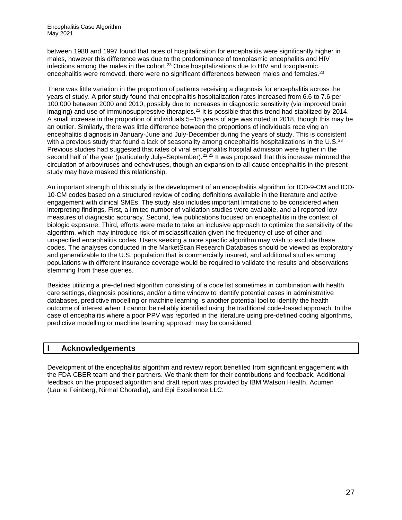between 1988 and 1997 found that rates of hospitalization for encephalitis were significantly higher in males, however this difference was due to the predominance of toxoplasmic encephalitis and HIV infections among the males in the cohort.<sup>[23](#page-28-1)</sup> Once hospitalizations due to HIV and toxoplasmic encephalitis were removed, there were no significant differences between males and females.<sup>[23](#page-28-1)</sup>

There was little variation in the proportion of patients receiving a diagnosis for encephalitis across the years of study. A prior study found that encephalitis hospitalization rates increased from 6.6 to 7.6 per 100,000 between 2000 and 2010, possibly due to increases in diagnostic sensitivity (via improved brain imaging) and use of immunosuppressive therapies.<sup>[22](#page-28-0)</sup> It is possible that this trend had stabilized by 2014. A small increase in the proportion of individuals 5–15 years of age was noted in 2018, though this may be an outlier. Similarly, there was little difference between the proportions of individuals receiving an encephalitis diagnosis in January-June and July-December during the years of study. This is consistent with a previous study that found a lack of seasonality among encephalitis hospitalizations in the U.S. $^{23}$  $^{23}$  $^{23}$ Previous studies had suggested that rates of viral encephalitis hospital admission were higher in the second half of the year (particularly July–September).<sup>[22,](#page-28-0)[25](#page-28-3)</sup> It was proposed that this increase mirrored the circulation of arboviruses and echoviruses, though an expansion to all-cause encephalitis in the present study may have masked this relationship.

An important strength of this study is the development of an encephalitis algorithm for ICD-9-CM and ICD-10-CM codes based on a structured review of coding definitions available in the literature and active engagement with clinical SMEs. The study also includes important limitations to be considered when interpreting findings. First, a limited number of validation studies were available, and all reported low measures of diagnostic accuracy. Second, few publications focused on encephalitis in the context of biologic exposure. Third, efforts were made to take an inclusive approach to optimize the sensitivity of the algorithm, which may introduce risk of misclassification given the frequency of use of other and unspecified encephalitis codes. Users seeking a more specific algorithm may wish to exclude these codes. The analyses conducted in the MarketScan Research Databases should be viewed as exploratory and generalizable to the U.S. population that is commercially insured, and additional studies among populations with different insurance coverage would be required to validate the results and observations stemming from these queries.

Besides utilizing a pre-defined algorithm consisting of a code list sometimes in combination with health care settings, diagnosis positions, and/or a time window to identify potential cases in administrative databases, predictive modelling or machine learning is another potential tool to identify the health outcome of interest when it cannot be reliably identified using the traditional code-based approach. In the case of encephalitis where a poor PPV was reported in the literature using pre-defined coding algorithms, predictive modelling or machine learning approach may be considered.

## <span id="page-26-0"></span>**I Acknowledgements**

Development of the encephalitis algorithm and review report benefited from significant engagement with the FDA CBER team and their partners. We thank them for their contributions and feedback. Additional feedback on the proposed algorithm and draft report was provided by IBM Watson Health, Acumen (Laurie Feinberg, Nirmal Choradia), and Epi Excellence LLC.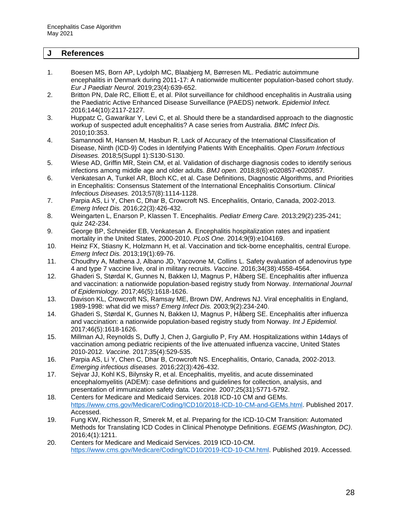## <span id="page-27-0"></span>**J References**

- <span id="page-27-1"></span>1. Boesen MS, Born AP, Lydolph MC, Blaabjerg M, Børresen ML. Pediatric autoimmune encephalitis in Denmark during 2011-17: A nationwide multicenter population-based cohort study. *Eur J Paediatr Neurol.* 2019;23(4):639-652.
- <span id="page-27-4"></span>2. Britton PN, Dale RC, Elliott E, et al. Pilot surveillance for childhood encephalitis in Australia using the Paediatric Active Enhanced Disease Surveillance (PAEDS) network. *Epidemiol Infect.*  2016;144(10):2117-2127.
- <span id="page-27-5"></span>3. Huppatz C, Gawarikar Y, Levi C, et al. Should there be a standardised approach to the diagnostic workup of suspected adult encephalitis? A case series from Australia. *BMC Infect Dis.*  2010;10:353.
- <span id="page-27-3"></span>4. Samannodi M, Hansen M, Hasbun R. Lack of Accuracy of the International Classification of Disease, Ninth (ICD-9) Codes in Identifying Patients With Encephalitis. *Open Forum Infectious Diseases.* 2018;5(Suppl 1):S130-S130.
- <span id="page-27-2"></span>5. Wiese AD, Griffin MR, Stein CM, et al. Validation of discharge diagnosis codes to identify serious infections among middle age and older adults. *BMJ open.* 2018;8(6):e020857-e020857.
- <span id="page-27-6"></span>6. Venkatesan A, Tunkel AR, Bloch KC, et al. Case Definitions, Diagnostic Algorithms, and Priorities in Encephalitis: Consensus Statement of the International Encephalitis Consortium. *Clinical Infectious Diseases.* 2013;57(8):1114-1128.
- <span id="page-27-7"></span>7. Parpia AS, Li Y, Chen C, Dhar B, Crowcroft NS. Encephalitis, Ontario, Canada, 2002-2013. *Emerg Infect Dis.* 2016;22(3):426-432.
- <span id="page-27-8"></span>8. Weingarten L, Enarson P, Klassen T. Encephalitis. *Pediatr Emerg Care.* 2013;29(2):235-241; quiz 242-234.
- <span id="page-27-9"></span>9. George BP, Schneider EB, Venkatesan A. Encephalitis hospitalization rates and inpatient mortality in the United States, 2000-2010. *PLoS One.* 2014;9(9):e104169.
- <span id="page-27-10"></span>10. Heinz FX, Stiasny K, Holzmann H, et al. Vaccination and tick-borne encephalitis, central Europe. *Emerg Infect Dis.* 2013;19(1):69-76.
- <span id="page-27-11"></span>11. Choudhry A, Mathena J, Albano JD, Yacovone M, Collins L. Safety evaluation of adenovirus type 4 and type 7 vaccine live, oral in military recruits. *Vaccine.* 2016;34(38):4558-4564.
- <span id="page-27-12"></span>12. Ghaderi S, Størdal K, Gunnes N, Bakken IJ, Magnus P, Håberg SE. Encephalitis after influenza and vaccination: a nationwide population-based registry study from Norway. *International Journal of Epidemiology.* 2017;46(5):1618-1626.
- <span id="page-27-13"></span>13. Davison KL, Crowcroft NS, Ramsay ME, Brown DW, Andrews NJ. Viral encephalitis in England, 1989-1998: what did we miss? *Emerg Infect Dis.* 2003;9(2):234-240.
- 14. Ghaderi S, Størdal K, Gunnes N, Bakken IJ, Magnus P, Håberg SE. Encephalitis after influenza and vaccination: a nationwide population-based registry study from Norway. *Int J Epidemiol.*  2017;46(5):1618-1626.
- <span id="page-27-14"></span>15. Millman AJ, Reynolds S, Duffy J, Chen J, Gargiullo P, Fry AM. Hospitalizations within 14days of vaccination among pediatric recipients of the live attenuated influenza vaccine, United States 2010-2012. *Vaccine.* 2017;35(4):529-535.
- 16. Parpia AS, Li Y, Chen C, Dhar B, Crowcroft NS. Encephalitis, Ontario, Canada, 2002-2013. *Emerging infectious diseases.* 2016;22(3):426-432.
- <span id="page-27-15"></span>17. Sejvar JJ, Kohl KS, Bilynsky R, et al. Encephalitis, myelitis, and acute disseminated encephalomyelitis (ADEM): case definitions and guidelines for collection, analysis, and presentation of immunization safety data. *Vaccine.* 2007;25(31):5771-5792.
- <span id="page-27-16"></span>18. Centers for Medicare and Medicaid Services. 2018 ICD-10 CM and GEMs. [https://www.cms.gov/Medicare/Coding/ICD10/2018-ICD-10-CM-and-GEMs.html.](https://www.cms.gov/Medicare/Coding/ICD10/2018-ICD-10-CM-and-GEMs.html) Published 2017. Accessed.
- 19. Fung KW, Richesson R, Smerek M, et al. Preparing for the ICD-10-CM Transition: Automated Methods for Translating ICD Codes in Clinical Phenotype Definitions. *EGEMS (Washington, DC).*  2016;4(1):1211.
- 20. Centers for Medicare and Medicaid Services. 2019 ICD-10-CM. [https://www.cms.gov/Medicare/Coding/ICD10/2019-ICD-10-CM.html.](https://www.cms.gov/Medicare/Coding/ICD10/2019-ICD-10-CM.html) Published 2019. Accessed.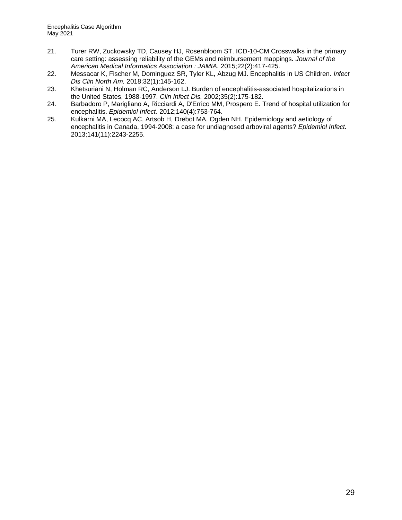- 21. Turer RW, Zuckowsky TD, Causey HJ, Rosenbloom ST. ICD-10-CM Crosswalks in the primary care setting: assessing reliability of the GEMs and reimbursement mappings. *Journal of the American Medical Informatics Association : JAMIA.* 2015;22(2):417-425.
- <span id="page-28-0"></span>22. Messacar K, Fischer M, Dominguez SR, Tyler KL, Abzug MJ. Encephalitis in US Children. *Infect Dis Clin North Am.* 2018;32(1):145-162.
- <span id="page-28-1"></span>23. Khetsuriani N, Holman RC, Anderson LJ. Burden of encephalitis-associated hospitalizations in the United States, 1988-1997. *Clin Infect Dis.* 2002;35(2):175-182.
- <span id="page-28-2"></span>24. Barbadoro P, Marigliano A, Ricciardi A, D'Errico MM, Prospero E. Trend of hospital utilization for encephalitis. *Epidemiol Infect.* 2012;140(4):753-764.
- <span id="page-28-3"></span>25. Kulkarni MA, Lecocq AC, Artsob H, Drebot MA, Ogden NH. Epidemiology and aetiology of encephalitis in Canada, 1994-2008: a case for undiagnosed arboviral agents? *Epidemiol Infect.*  2013;141(11):2243-2255.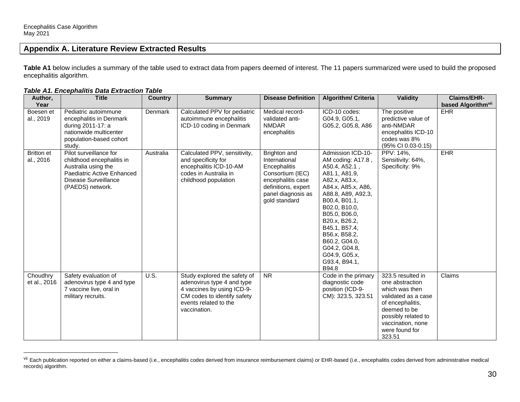# **Appendix A. Literature Review Extracted Results**

Table A1 below includes a summary of the table used to extract data from papers deemed of interest. The 11 papers summarized were used to build the proposed encephalitis algorithm.

<span id="page-29-0"></span>

| Author,<br>Year                | <b>Title</b>                                                                                                                                         | <b>Country</b> | <b>Summary</b>                                                                                                                                                   | <b>Disease Definition</b>                                                                                                                            | <b>Algorithm/ Criteria</b>                                                                                                                                                                                                                                                                                               | Validity                                                                                                                                                                                  | <b>Claims/EHR-</b><br>based Algorithm <sup>vii</sup> |
|--------------------------------|------------------------------------------------------------------------------------------------------------------------------------------------------|----------------|------------------------------------------------------------------------------------------------------------------------------------------------------------------|------------------------------------------------------------------------------------------------------------------------------------------------------|--------------------------------------------------------------------------------------------------------------------------------------------------------------------------------------------------------------------------------------------------------------------------------------------------------------------------|-------------------------------------------------------------------------------------------------------------------------------------------------------------------------------------------|------------------------------------------------------|
| Boesen et<br>al., 2019         | Pediatric autoimmune<br>encephalitis in Denmark<br>during 2011-17: a<br>nationwide multicenter<br>population-based cohort<br>study.                  | Denmark        | Calculated PPV for pediatric<br>autoimmune encephalitis<br>ICD-10 coding in Denmark                                                                              | Medical record-<br>validated anti-<br><b>NMDAR</b><br>encephalitis                                                                                   | ICD-10 codes:<br>G04.9, G05.1,<br>G05.2, G05.8, A86                                                                                                                                                                                                                                                                      | The positive<br>predictive value of<br>anti-NMDAR<br>encephalitis ICD-10<br>codes was 8%<br>(95% CI 0.03-0.15)                                                                            | <b>EHR</b>                                           |
| <b>Britton</b> et<br>al., 2016 | Pilot surveillance for<br>childhood encephalitis in<br>Australia using the<br>Paediatric Active Enhanced<br>Disease Surveillance<br>(PAEDS) network. | Australia      | Calculated PPV, sensitivity,<br>and specificity for<br>encephalitis ICD-10-AM<br>codes in Australia in<br>childhood population                                   | Brighton and<br>International<br>Encephalitis<br>Consortium (IEC)<br>encephalitis case<br>definitions, expert<br>panel diagnosis as<br>gold standard | Admission ICD-10-<br>AM coding: A17.8,<br>A50.4, A52.1,<br>A81.1, A81.9,<br>A82.x, A83.x,<br>A84.x, A85.x, A86,<br>A88.8, A89, A92.3,<br>B00.4, B01.1,<br>B02.0, B10.0,<br>B05.0, B06.0,<br>B20.x, B26.2,<br>B45.1, B57.4,<br>B56.x, B58.2,<br>B60.2, G04.0,<br>G04.2, G04.8,<br>G04.9, G05.x,<br>G93.4, B94.1,<br>B94.8 | PPV: 14%,<br>Sensitivity: 64%,<br>Specificity: 9%                                                                                                                                         | <b>EHR</b>                                           |
| Choudhry<br>et al., 2016       | Safety evaluation of<br>adenovirus type 4 and type<br>7 vaccine live, oral in<br>military recruits.                                                  | U.S.           | Study explored the safety of<br>adenovirus type 4 and type<br>4 vaccines by using ICD-9-<br>CM codes to identify safety<br>events related to the<br>vaccination. | <b>NR</b>                                                                                                                                            | Code in the primary<br>diagnostic code<br>position (ICD-9-<br>CM): 323.5, 323.51                                                                                                                                                                                                                                         | 323.5 resulted in<br>one abstraction<br>which was then<br>validated as a case<br>of encephalitis,<br>deemed to be<br>possibly related to<br>vaccination, none<br>were found for<br>323.51 | Claims                                               |

### *Table A1. Encephalitis Data Extraction Table*

<sup>&</sup>lt;sup>vii</sup> Each publication reported on either a claims-based (i.e., encephalitis codes derived from insurance reimbursement claims) or EHR-based (i.e., encephalitis codes derived from administrative medical records) algorithm.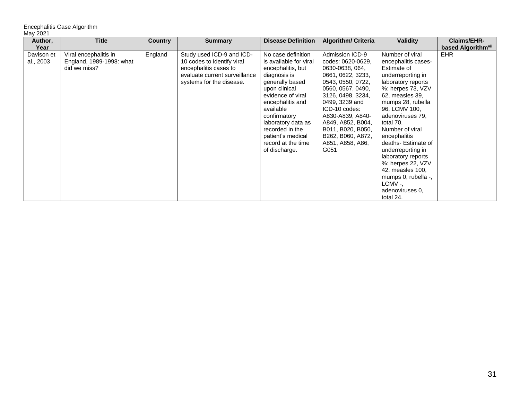| May 2021                |                                                                   |                |                                                                                                                                               |                                                                                                                                                                                                                                                                                                  |                                                                                                                                                                                                                                                                                               |                                                                                                                                                                                                                                                                                                                                                                                                |                                |
|-------------------------|-------------------------------------------------------------------|----------------|-----------------------------------------------------------------------------------------------------------------------------------------------|--------------------------------------------------------------------------------------------------------------------------------------------------------------------------------------------------------------------------------------------------------------------------------------------------|-----------------------------------------------------------------------------------------------------------------------------------------------------------------------------------------------------------------------------------------------------------------------------------------------|------------------------------------------------------------------------------------------------------------------------------------------------------------------------------------------------------------------------------------------------------------------------------------------------------------------------------------------------------------------------------------------------|--------------------------------|
| Author,                 | <b>Title</b>                                                      | <b>Country</b> | <b>Summary</b>                                                                                                                                | <b>Disease Definition</b>                                                                                                                                                                                                                                                                        | <b>Algorithm/ Criteria</b>                                                                                                                                                                                                                                                                    | <b>Validity</b>                                                                                                                                                                                                                                                                                                                                                                                | <b>Claims/EHR-</b>             |
| Year                    |                                                                   |                |                                                                                                                                               |                                                                                                                                                                                                                                                                                                  |                                                                                                                                                                                                                                                                                               |                                                                                                                                                                                                                                                                                                                                                                                                | based Algorithm <sup>vii</sup> |
| Davison et<br>al., 2003 | Viral encephalitis in<br>England, 1989-1998: what<br>did we miss? | England        | Study used ICD-9 and ICD-<br>10 codes to identify viral<br>encephalitis cases to<br>evaluate current surveillance<br>systems for the disease. | No case definition<br>is available for viral<br>encephalitis, but<br>diagnosis is<br>generally based<br>upon clinical<br>evidence of viral<br>encephalitis and<br>available<br>confirmatory<br>laboratory data as<br>recorded in the<br>patient's medical<br>record at the time<br>of discharge. | Admission ICD-9<br>codes: 0620-0629,<br>0630-0638, 064,<br>0661, 0622, 3233,<br>0543, 0550, 0722,<br>0560, 0567, 0490,<br>3126, 0498, 3234,<br>0499, 3239 and<br>ICD-10 codes:<br>A830-A839, A840-<br>A849, A852, B004,<br>B011, B020, B050,<br>B262, B060, A872,<br>A851, A858, A86,<br>G051 | Number of viral<br>encephalitis cases-<br>Estimate of<br>underreporting in<br>laboratory reports<br>%: herpes 73, VZV<br>62, measles 39,<br>mumps 28, rubella<br>96, LCMV 100,<br>adenoviruses 79.<br>total 70.<br>Number of viral<br>encephalitis<br>deaths- Estimate of<br>underreporting in<br>laboratory reports<br>%: herpes 22, VZV<br>42, measles 100,<br>mumps 0, rubella -,<br>LCMV-, | <b>EHR</b>                     |
|                         |                                                                   |                |                                                                                                                                               |                                                                                                                                                                                                                                                                                                  |                                                                                                                                                                                                                                                                                               | adenoviruses 0,<br>total 24.                                                                                                                                                                                                                                                                                                                                                                   |                                |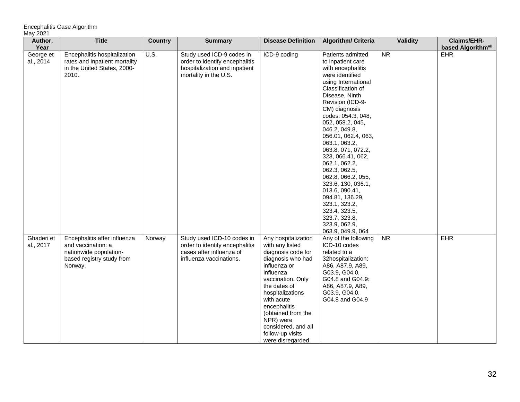#### May 2021

| Author,<br>Year         | <b>Title</b>                                                                                                         | <b>Country</b>    | <b>Summary</b>                                                                                                        | <b>Disease Definition</b>                                                                                                                                                                                                                                                                                | <b>Algorithm/ Criteria</b>                                                                                                                                                                                                                                                                                                                                                                                                                                                                                                                  | <b>Validity</b>        | <b>Claims/EHR-</b><br>based Algorithm <sup>vii</sup> |
|-------------------------|----------------------------------------------------------------------------------------------------------------------|-------------------|-----------------------------------------------------------------------------------------------------------------------|----------------------------------------------------------------------------------------------------------------------------------------------------------------------------------------------------------------------------------------------------------------------------------------------------------|---------------------------------------------------------------------------------------------------------------------------------------------------------------------------------------------------------------------------------------------------------------------------------------------------------------------------------------------------------------------------------------------------------------------------------------------------------------------------------------------------------------------------------------------|------------------------|------------------------------------------------------|
| George et<br>al., 2014  | Encephalitis hospitalization<br>rates and inpatient mortality<br>in the United States, 2000-<br>2010.                | $\overline{U.S.}$ | Study used ICD-9 codes in<br>order to identify encephalitis<br>hospitalization and inpatient<br>mortality in the U.S. | ICD-9 coding                                                                                                                                                                                                                                                                                             | Patients admitted<br>to inpatient care<br>with encephalitis<br>were identified<br>using International<br>Classification of<br>Disease, Ninth<br>Revision (ICD-9-<br>CM) diagnosis<br>codes: 054.3, 048,<br>052, 058.2, 045,<br>046.2, 049.8,<br>056.01, 062.4, 063,<br>063.1, 063.2,<br>063.8, 071, 072.2,<br>323, 066.41, 062,<br>062.1, 062.2,<br>062.3, 062.5,<br>062.8, 066.2, 055,<br>323.6, 130, 036.1,<br>013.6, 090.41,<br>094.81, 136.29,<br>323.1, 323.2,<br>323.4, 323.5,<br>323.7, 323.8,<br>323.9, 062.9,<br>063.9, 049.9, 064 | $\overline{\text{NR}}$ | <b>EHR</b>                                           |
| Ghaderi et<br>al., 2017 | Encephalitis after influenza<br>and vaccination: a<br>nationwide population-<br>based registry study from<br>Norway. | Norway            | Study used ICD-10 codes in<br>order to identify encephalitis<br>cases after influenza of<br>influenza vaccinations.   | Any hospitalization<br>with any listed<br>diagnosis code for<br>diagnosis who had<br>influenza or<br>influenza<br>vaccination. Only<br>the dates of<br>hospitalizations<br>with acute<br>encephalitis<br>(obtained from the<br>NPR) were<br>considered, and all<br>follow-up visits<br>were disregarded. | Any of the following<br>ICD-10 codes<br>related to a<br>32hospitalization:<br>A86, A87.9, A89,<br>G03.9, G04.0,<br>G04.8 and G04.9:<br>A86, A87.9, A89,<br>G03.9, G04.0,<br>G04.8 and G04.9                                                                                                                                                                                                                                                                                                                                                 | $\overline{\text{NR}}$ | <b>EHR</b>                                           |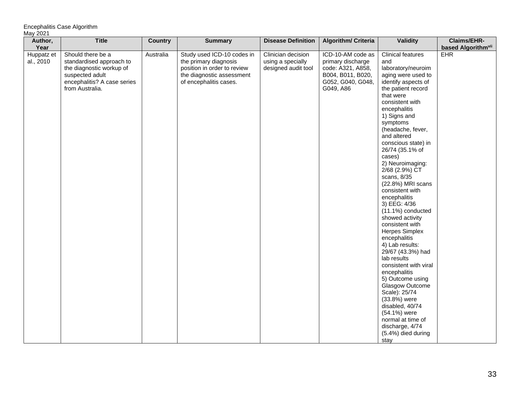#### May 2021

| Author,    | <b>Title</b>                | <b>Country</b> | <b>Summary</b>              | <b>Disease Definition</b> | <b>Algorithm/ Criteria</b> | <b>Validity</b>          | <b>Claims/EHR-</b>             |
|------------|-----------------------------|----------------|-----------------------------|---------------------------|----------------------------|--------------------------|--------------------------------|
| Year       |                             |                |                             |                           |                            |                          | based Algorithm <sup>vii</sup> |
| Huppatz et | Should there be a           | Australia      | Study used ICD-10 codes in  | Clinician decision        | ICD-10-AM code as          | <b>Clinical features</b> | <b>EHR</b>                     |
| al., 2010  | standardised approach to    |                | the primary diagnosis       | using a specially         | primary discharge          | and                      |                                |
|            | the diagnostic workup of    |                | position in order to review | designed audit tool       | code: A321, A858,          | laboratory/neuroim       |                                |
|            | suspected adult             |                | the diagnostic assessment   |                           | B004, B011, B020,          | aging were used to       |                                |
|            | encephalitis? A case series |                | of encephalitis cases.      |                           | G052, G040, G048,          | identify aspects of      |                                |
|            | from Australia.             |                |                             |                           | G049, A86                  | the patient record       |                                |
|            |                             |                |                             |                           |                            | that were                |                                |
|            |                             |                |                             |                           |                            | consistent with          |                                |
|            |                             |                |                             |                           |                            | encephalitis             |                                |
|            |                             |                |                             |                           |                            | 1) Signs and             |                                |
|            |                             |                |                             |                           |                            | symptoms                 |                                |
|            |                             |                |                             |                           |                            | (headache, fever,        |                                |
|            |                             |                |                             |                           |                            | and altered              |                                |
|            |                             |                |                             |                           |                            | conscious state) in      |                                |
|            |                             |                |                             |                           |                            | 26/74 (35.1% of          |                                |
|            |                             |                |                             |                           |                            | cases)                   |                                |
|            |                             |                |                             |                           |                            | 2) Neuroimaging:         |                                |
|            |                             |                |                             |                           |                            | 2/68 (2.9%) CT           |                                |
|            |                             |                |                             |                           |                            | scans, 8/35              |                                |
|            |                             |                |                             |                           |                            | (22.8%) MRI scans        |                                |
|            |                             |                |                             |                           |                            | consistent with          |                                |
|            |                             |                |                             |                           |                            | encephalitis             |                                |
|            |                             |                |                             |                           |                            | 3) EEG: 4/36             |                                |
|            |                             |                |                             |                           |                            | $(11.1\%)$ conducted     |                                |
|            |                             |                |                             |                           |                            | showed activity          |                                |
|            |                             |                |                             |                           |                            | consistent with          |                                |
|            |                             |                |                             |                           |                            | <b>Herpes Simplex</b>    |                                |
|            |                             |                |                             |                           |                            | encephalitis             |                                |
|            |                             |                |                             |                           |                            | 4) Lab results:          |                                |
|            |                             |                |                             |                           |                            | 29/67 (43.3%) had        |                                |
|            |                             |                |                             |                           |                            | lab results              |                                |
|            |                             |                |                             |                           |                            | consistent with viral    |                                |
|            |                             |                |                             |                           |                            | encephalitis             |                                |
|            |                             |                |                             |                           |                            | 5) Outcome using         |                                |
|            |                             |                |                             |                           |                            | Glasgow Outcome          |                                |
|            |                             |                |                             |                           |                            | Scale): 25/74            |                                |
|            |                             |                |                             |                           |                            | (33.8%) were             |                                |
|            |                             |                |                             |                           |                            | disabled, 40/74          |                                |
|            |                             |                |                             |                           |                            | (54.1%) were             |                                |
|            |                             |                |                             |                           |                            | normal at time of        |                                |
|            |                             |                |                             |                           |                            | discharge, 4/74          |                                |
|            |                             |                |                             |                           |                            | (5.4%) died during       |                                |
|            |                             |                |                             |                           |                            | stay                     |                                |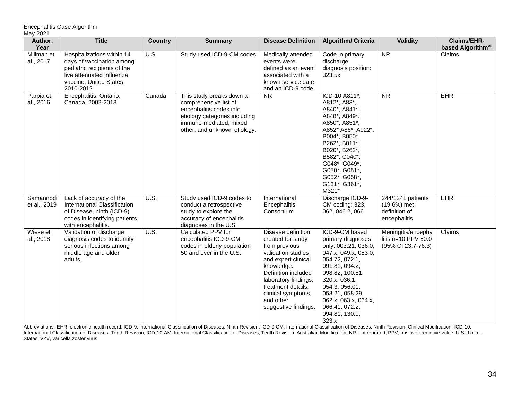#### May 2021

| Author,<br>Year           | <b>Title</b>                                                                                                                                                | <b>Country</b>    | <b>Summary</b>                                                                                                                                                          | <b>Disease Definition</b>                                                                                                                                                                                                                           | <b>Algorithm/ Criteria</b>                                                                                                                                                                                                                                            | <b>Validity</b>                                                   | <b>Claims/EHR-</b><br>based Algorithm <sup>vii</sup> |
|---------------------------|-------------------------------------------------------------------------------------------------------------------------------------------------------------|-------------------|-------------------------------------------------------------------------------------------------------------------------------------------------------------------------|-----------------------------------------------------------------------------------------------------------------------------------------------------------------------------------------------------------------------------------------------------|-----------------------------------------------------------------------------------------------------------------------------------------------------------------------------------------------------------------------------------------------------------------------|-------------------------------------------------------------------|------------------------------------------------------|
| Millman et<br>al., 2017   | Hospitalizations within 14<br>days of vaccination among<br>pediatric recipients of the<br>live attenuated influenza<br>vaccine, United States<br>2010-2012. | $\overline{U.S.}$ | Study used ICD-9-CM codes                                                                                                                                               | Medically attended<br>events were<br>defined as an event<br>associated with a<br>known service date<br>and an ICD-9 code.                                                                                                                           | Code in primary<br>discharge<br>diagnosis position:<br>323.5x                                                                                                                                                                                                         | $\overline{\text{NR}}$                                            | Claims                                               |
| Parpia et<br>al., 2016    | Encephalitis, Ontario,<br>Canada, 2002-2013.                                                                                                                | Canada            | This study breaks down a<br>comprehensive list of<br>encephalitis codes into<br>etiology categories including<br>immune-mediated, mixed<br>other, and unknown etiology. | <b>NR</b>                                                                                                                                                                                                                                           | ICD-10 A811*,<br>A812*, A83*,<br>A840*, A841*,<br>A848*, A849*,<br>A850*, A851*,<br>A852* A86*, A922*,<br>B004*, B050*,<br>B262*, B011*,<br>B020*, B262*,<br>B582*, G040*,<br>G048*, G049*,<br>G050*, G051*,<br>G052*, G058*,<br>G131*, G361*,<br>M321*               | <b>NR</b>                                                         | EHR                                                  |
| Samannodi<br>et al., 2019 | Lack of accuracy of the<br>International Classification<br>of Disease, ninth (ICD-9)<br>codes in identifying patients<br>with encephalitis.                 | $\overline{U.S.}$ | Study used ICD-9 codes to<br>conduct a retrospective<br>study to explore the<br>accuracy of encephalitis<br>diagnoses in the U.S.                                       | International<br>Encephalitis<br>Consortium                                                                                                                                                                                                         | Discharge ICD-9-<br>CM coding: 323,<br>062, 046.2, 066                                                                                                                                                                                                                | 244/1241 patients<br>(19.6%) met<br>definition of<br>encephalitis | <b>EHR</b>                                           |
| Wiese et<br>al., 2018     | Validation of discharge<br>diagnosis codes to identify<br>serious infections among<br>middle age and older<br>adults.                                       | U.S.              | Calculated PPV for<br>encephalitis ICD-9-CM<br>codes in elderly population<br>50 and over in the U.S                                                                    | Disease definition<br>created for study<br>from previous<br>validation studies<br>and expert clinical<br>knowledge.<br>Definition included<br>laboratory findings,<br>treatment details,<br>clinical symptoms,<br>and other<br>suggestive findings. | ICD-9-CM based<br>primary diagnoses<br>only: 003.21, 036.0,<br>047.x, 049.x, 053.0,<br>054.72, 072.1,<br>091.81, 094.2,<br>098.82, 100.81,<br>320.x, 036.1,<br>054.3, 056.01,<br>058.21, 058.29,<br>062.x, 063.x, 064.x,<br>066.41, 072.2,<br>094.81, 130.0,<br>323.x | Meningitis/encepha<br>litis $n=10$ PPV 50.0<br>(95% CI 23.7-76.3) | Claims                                               |

Abbreviations: EHR, electronic health record; ICD-9, International Classification of Diseases, Ninth Revision; ICD-9-CM, International Classification of Diseases, Ninth Revision, Clinical Modification; ICD-10, International Classification of Diseases, Tenth Revision; ICD-10-AM, International Classification of Diseases, Tenth Revision, Australian Modification; NR, not reported; PPV, positive predictive value; U.S., United States; VZV, varicella zoster virus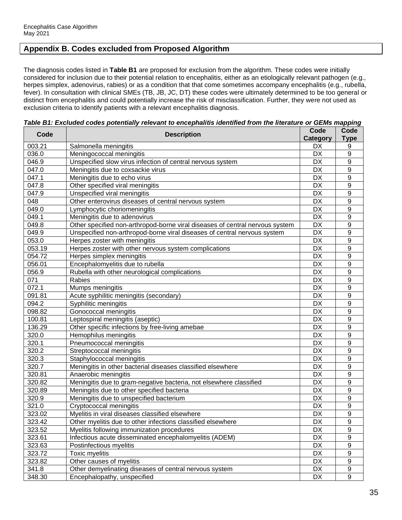## <span id="page-34-0"></span>**Appendix B. Codes excluded from Proposed Algorithm**

The diagnosis codes listed in **Table B1** are proposed for exclusion from the algorithm. These codes were initially considered for inclusion due to their potential relation to encephalitis, either as an etiologically relevant pathogen (e.g., herpes simplex, adenovirus, rabies) or as a condition that that come sometimes accompany encephalitis (e.g., rubella, fever). In consultation with clinical SMEs (TB, JB, JC, DT) these codes were ultimately determined to be too general or distinct from encephalitis and could potentially increase the risk of misclassification. Further, they were not used as exclusion criteria to identify patients with a relevant encephalitis diagnosis.

| Code   | <b>Description</b>                                                           | Code            | Code             |
|--------|------------------------------------------------------------------------------|-----------------|------------------|
|        |                                                                              | <b>Category</b> | <b>Type</b>      |
| 003.21 | Salmonella meningitis                                                        | DX              | 9                |
| 036.0  | Meningococcal meningitis                                                     | <b>DX</b>       | $\boldsymbol{9}$ |
| 046.9  | Unspecified slow virus infection of central nervous system                   | <b>DX</b>       | $\boldsymbol{9}$ |
| 047.0  | Meningitis due to coxsackie virus                                            | DX              | $\boldsymbol{9}$ |
| 047.1  | Meningitis due to echo virus                                                 | <b>DX</b>       | $\boldsymbol{9}$ |
| 047.8  | Other specified viral meningitis                                             | DX              | $\boldsymbol{9}$ |
| 047.9  | Unspecified viral meningitis                                                 | DX              | $\boldsymbol{9}$ |
| 048    | Other enterovirus diseases of central nervous system                         | <b>DX</b>       | $\boldsymbol{9}$ |
| 049.0  | Lymphocytic choriomeningitis                                                 | DX              | $\boldsymbol{9}$ |
| 049.1  | Meningitis due to adenovirus                                                 | <b>DX</b>       | $\boldsymbol{9}$ |
| 049.8  | Other specified non-arthropod-borne viral diseases of central nervous system | <b>DX</b>       | $\boldsymbol{9}$ |
| 049.9  | Unspecified non-arthropod-borne viral diseases of central nervous system     | DX              | $\boldsymbol{9}$ |
| 053.0  | Herpes zoster with meningitis                                                | DX              | $\boldsymbol{9}$ |
| 053.19 | Herpes zoster with other nervous system complications                        | <b>DX</b>       | $\boldsymbol{9}$ |
| 054.72 | Herpes simplex meningitis                                                    | DX              | $\boldsymbol{9}$ |
| 056.01 | Encephalomyelitis due to rubella                                             | DX              | $\boldsymbol{9}$ |
| 056.9  | Rubella with other neurological complications                                | DX              | $\boldsymbol{9}$ |
| 071    | Rabies                                                                       | DX              | $\boldsymbol{9}$ |
| 072.1  | Mumps meningitis                                                             | DX              | $\boldsymbol{9}$ |
| 091.81 | Acute syphilitic meningitis (secondary)                                      | DX              | $\boldsymbol{9}$ |
| 094.2  | Syphilitic meningitis                                                        | DX              | $\boldsymbol{9}$ |
| 098.82 | Gonococcal meningitis                                                        | DX              | $\boldsymbol{9}$ |
| 100.81 | Leptospiral meningitis (aseptic)                                             | DX              | $\boldsymbol{9}$ |
| 136.29 | Other specific infections by free-living amebae                              | DX              | $\boldsymbol{9}$ |
| 320.0  | Hemophilus meningitis                                                        | DX              | $\boldsymbol{9}$ |
| 320.1  | Pneumococcal meningitis                                                      | DX              | $\boldsymbol{9}$ |
| 320.2  | Streptococcal meningitis                                                     | DX              | $\boldsymbol{9}$ |
| 320.3  | Staphylococcal meningitis                                                    | DX              | $\boldsymbol{9}$ |
| 320.7  | Meningitis in other bacterial diseases classified elsewhere                  | DX              | $\boldsymbol{9}$ |
| 320.81 | Anaerobic meningitis                                                         | DX              | $\boldsymbol{9}$ |
| 320.82 | Meningitis due to gram-negative bacteria, not elsewhere classified           | DX              | $\boldsymbol{9}$ |
| 320.89 | Meningitis due to other specified bacteria                                   | DX              | $\boldsymbol{9}$ |
| 320.9  | Meningitis due to unspecified bacterium                                      | <b>DX</b>       | $\boldsymbol{9}$ |
| 321.0  | Cryptococcal meningitis                                                      | DX              | $\boldsymbol{9}$ |
| 323.02 | Myelitis in viral diseases classified elsewhere                              | DX              | $\boldsymbol{9}$ |
| 323.42 | Other myelitis due to other infections classified elsewhere                  | DX              | $\boldsymbol{9}$ |
| 323.52 | Myelitis following immunization procedures                                   | DX              | 9                |
| 323.61 | Infectious acute disseminated encephalomyelitis (ADEM)                       | DX              | 9                |
| 323.63 | Postinfectious myelitis                                                      | DX              | 9                |
| 323.72 | Toxic myelitis                                                               | DX              | $\boldsymbol{9}$ |
| 323.82 | Other causes of myelitis                                                     | DX              | 9                |
| 341.8  | Other demyelinating diseases of central nervous system                       | DX              | 9                |
| 348.30 | Encephalopathy, unspecified                                                  | DX              | 9                |

#### *Table B1: Excluded codes potentially relevant to encephalitis identified from the literature or GEMs mapping*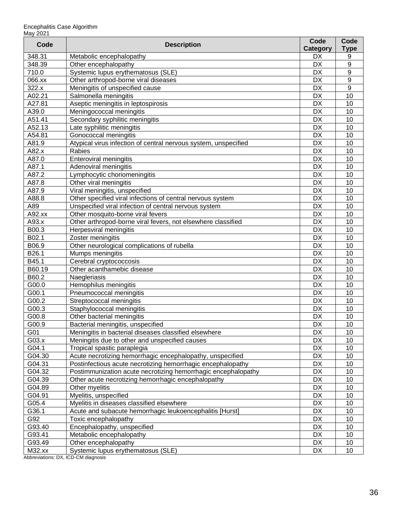| Code   | <b>Description</b>                                              | Code<br>Category | Code<br><b>Type</b> |
|--------|-----------------------------------------------------------------|------------------|---------------------|
| 348.31 | Metabolic encephalopathy                                        | DX               | 9                   |
| 348.39 | Other encephalopathy                                            | <b>DX</b>        | 9                   |
| 710.0  | Systemic lupus erythematosus (SLE)                              | <b>DX</b>        | 9                   |
| 066.xx | Other arthropod-borne viral diseases                            | <b>DX</b>        | $\overline{9}$      |
| 322.x  | Meningitis of unspecified cause                                 | <b>DX</b>        | $\overline{9}$      |
| A02.21 | Salmonella meningitis                                           | <b>DX</b>        | 10                  |
| A27.81 | Aseptic meningitis in leptospirosis                             | <b>DX</b>        | 10                  |
| A39.0  | Meningococcal meningitis                                        | <b>DX</b>        | 10                  |
| A51.41 | Secondary syphilitic meningitis                                 | <b>DX</b>        | 10                  |
| A52.13 | Late syphilitic meningitis                                      | <b>DX</b>        | 10                  |
| A54.81 | Gonococcal meningitis                                           | <b>DX</b>        | 10                  |
| A81.9  | Atypical virus infection of central nervous system, unspecified | <b>DX</b>        | 10                  |
| A82.x  | Rabies                                                          | <b>DX</b>        | 10                  |
| A87.0  | Enteroviral meningitis                                          | <b>DX</b>        | 10                  |
| A87.1  | Adenoviral meningitis                                           | <b>DX</b>        | 10                  |
| A87.2  | Lymphocytic choriomeningitis                                    | <b>DX</b>        | 10                  |
| A87.8  | Other viral meningitis                                          | <b>DX</b>        | 10                  |
| A87.9  | Viral meningitis, unspecified                                   | <b>DX</b>        | 10                  |
| A88.8  | Other specified viral infections of central nervous system      | <b>DX</b>        | 10                  |
| A89    | Unspecified viral infection of central nervous system           | <b>DX</b>        | 10                  |
| A92.xx | Other mosquito-borne viral fevers                               | <b>DX</b>        | 10                  |
| A93.x  | Other arthropod-borne viral fevers, not elsewhere classified    | <b>DX</b>        | 10                  |
| B00.3  | Herpesviral meningitis                                          | <b>DX</b>        | 10                  |
| B02.1  | Zoster meningitis                                               | <b>DX</b>        | 10                  |
| B06.9  | Other neurological complications of rubella                     | <b>DX</b>        | 10                  |
| B26.1  | Mumps meningitis                                                | <b>DX</b>        | 10                  |
| B45.1  | Cerebral cryptococcosis                                         | <b>DX</b>        | 10                  |
| B60.19 | Other acanthamebic disease                                      | <b>DX</b>        | 10                  |
| B60.2  | Naegleriasis                                                    | <b>DX</b>        | 10                  |
| G00.0  | Hemophilus meningitis                                           | <b>DX</b>        | 10                  |
| G00.1  | Pneumococcal meningitis                                         | <b>DX</b>        | 10                  |
| G00.2  | Streptococcal meningitis                                        | <b>DX</b>        | 10                  |
| G00.3  | Staphylococcal meningitis                                       | <b>DX</b>        | 10                  |
| G00.8  | Other bacterial meningitis                                      | DX               | 10                  |
| G00.9  | Bacterial meningitis, unspecified                               | <b>DX</b>        | 10                  |
| G01    | Meningitis in bacterial diseases classified elsewhere           | DX               | 10                  |
| G03.x  | Meningitis due to other and unspecified causes                  | DX               | 10                  |
| G04.1  | Tropical spastic paraplegia                                     | <b>DX</b>        | 10                  |
| G04.30 | Acute necrotizing hemorrhagic encephalopathy, unspecified       | DX               | 10                  |
| G04.31 | Postinfectious acute necrotizing hemorrhagic encephalopathy     | DX               | 10                  |
| G04.32 | Postimmunization acute necrotizing hemorrhagic encephalopathy   | <b>DX</b>        | 10                  |
| G04.39 | Other acute necrotizing hemorrhagic encephalopathy              | DX               | 10                  |
| G04.89 | Other myelitis                                                  | <b>DX</b>        | 10                  |
| G04.91 | Myelitis, unspecified                                           | <b>DX</b>        | 10                  |
| G05.4  | Myelitis in diseases classified elsewhere                       | DX               | 10                  |
| G36.1  | Acute and subacute hemorrhagic leukoencephalitis [Hurst]        | <b>DX</b>        | 10                  |
| G92    | Toxic encephalopathy                                            | <b>DX</b>        | 10                  |
| G93.40 | Encephalopathy, unspecified                                     | DX               | 10                  |
| G93.41 | Metabolic encephalopathy                                        | <b>DX</b>        | 10                  |
| G93.49 | Other encephalopathy                                            | DX               | 10                  |
| M32.xx | Systemic lupus erythematosus (SLE)                              | <b>DX</b>        | 10                  |
|        |                                                                 |                  |                     |

Abbreviations: DX, ICD-CM diagnosis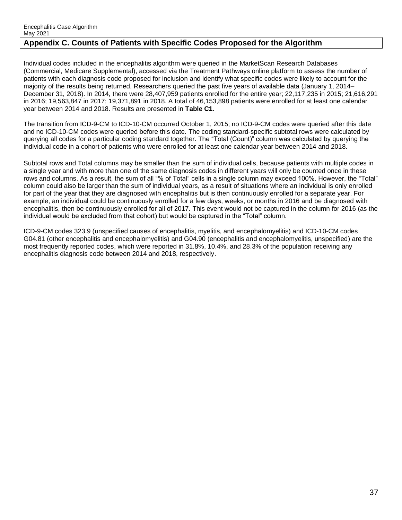## <span id="page-36-0"></span>**Appendix C. Counts of Patients with Specific Codes Proposed for the Algorithm**

Individual codes included in the encephalitis algorithm were queried in the MarketScan Research Databases (Commercial, Medicare Supplemental), accessed via the Treatment Pathways online platform to assess the number of patients with each diagnosis code proposed for inclusion and identify what specific codes were likely to account for the majority of the results being returned. Researchers queried the past five years of available data (January 1, 2014– December 31, 2018). In 2014, there were 28,407,959 patients enrolled for the entire year; 22,117,235 in 2015; 21,616,291 in 2016; 19,563,847 in 2017; 19,371,891 in 2018. A total of 46,153,898 patients were enrolled for at least one calendar year between 2014 and 2018. Results are presented in **Table C1**.

The transition from ICD-9-CM to ICD-10-CM occurred October 1, 2015; no ICD-9-CM codes were queried after this date and no ICD-10-CM codes were queried before this date. The coding standard-specific subtotal rows were calculated by querying all codes for a particular coding standard together. The "Total (Count)" column was calculated by querying the individual code in a cohort of patients who were enrolled for at least one calendar year between 2014 and 2018.

Subtotal rows and Total columns may be smaller than the sum of individual cells, because patients with multiple codes in a single year and with more than one of the same diagnosis codes in different years will only be counted once in these rows and columns. As a result, the sum of all "% of Total" cells in a single column may exceed 100%. However, the "Total" column could also be larger than the sum of individual years, as a result of situations where an individual is only enrolled for part of the year that they are diagnosed with encephalitis but is then continuously enrolled for a separate year. For example, an individual could be continuously enrolled for a few days, weeks, or months in 2016 and be diagnosed with encephalitis, then be continuously enrolled for all of 2017. This event would not be captured in the column for 2016 (as the individual would be excluded from that cohort) but would be captured in the "Total" column.

ICD-9-CM codes 323.9 (unspecified causes of encephalitis, myelitis, and encephalomyelitis) and ICD-10-CM codes G04.81 (other encephalitis and encephalomyelitis) and G04.90 (encephalitis and encephalomyelitis, unspecified) are the most frequently reported codes, which were reported in 31.8%, 10.4%, and 28.3% of the population receiving any encephalitis diagnosis code between 2014 and 2018, respectively.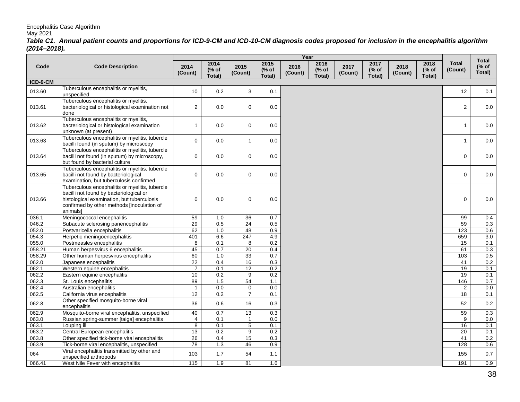### May 2021

*Table C1. Annual patient counts and proportions for ICD-9-CM and ICD-10-CM diagnosis codes proposed for inclusion in the encephalitis algorithm (2014–2018).*

|                |                                                                                                                                                                                                   | Year              |                                 |                 |                         |                 |                         |                 |                         |                 |                         |                         |                                 |
|----------------|---------------------------------------------------------------------------------------------------------------------------------------------------------------------------------------------------|-------------------|---------------------------------|-----------------|-------------------------|-----------------|-------------------------|-----------------|-------------------------|-----------------|-------------------------|-------------------------|---------------------------------|
| Code           | <b>Code Description</b>                                                                                                                                                                           | 2014<br>(Count)   | 2014<br>(% of<br><b>Total</b> ) | 2015<br>(Count) | 2015<br>(% of<br>Total) | 2016<br>(Count) | 2016<br>(% of<br>Total) | 2017<br>(Count) | 2017<br>(% of<br>Total) | 2018<br>(Count) | 2018<br>(% of<br>Total) | <b>Total</b><br>(Count) | <b>Total</b><br>(% of<br>Total) |
| ICD-9-CM       |                                                                                                                                                                                                   |                   |                                 |                 |                         |                 |                         |                 |                         |                 |                         |                         |                                 |
| 013.60         | Tuberculous encephalitis or myelitis,<br>unspecified                                                                                                                                              | 10                | 0.2                             | 3               | 0.1                     |                 |                         |                 |                         |                 |                         | 12                      | 0.1                             |
| 013.61         | Tuberculous encephalitis or myelitis,<br>bacteriological or histological examination not<br>done                                                                                                  | $\overline{2}$    | 0.0                             | $\Omega$        | 0.0                     |                 |                         |                 |                         |                 |                         | 2                       | 0.0                             |
| 013.62         | Tuberculous encephalitis or myelitis,<br>bacteriological or histological examination<br>unknown (at present)                                                                                      | 1                 | 0.0                             | $\mathbf 0$     | 0.0                     |                 |                         |                 |                         |                 |                         | $\overline{1}$          | 0.0                             |
| 013.63         | Tuberculous encephalitis or myelitis, tubercle<br>bacilli found (in sputum) by microscopy                                                                                                         | 0                 | 0.0                             | $\mathbf{1}$    | 0.0                     |                 |                         |                 |                         |                 |                         | $\overline{1}$          | $0.0\,$                         |
| 013.64         | Tuberculous encephalitis or myelitis, tubercle<br>bacilli not found (in sputum) by microscopy,<br>but found by bacterial culture                                                                  | $\Omega$          | 0.0                             | $\Omega$        | 0.0                     |                 |                         |                 |                         |                 |                         | $\Omega$                | 0.0                             |
| 013.65         | Tuberculous encephalitis or myelitis, tubercle<br>bacilli not found by bacteriological<br>examination, but tuberculosis confirmed                                                                 | 0                 | 0.0                             | $\Omega$        | 0.0                     |                 |                         |                 |                         |                 |                         | $\Omega$                | 0.0                             |
| 013.66         | Tuberculous encephalitis or myelitis, tubercle<br>bacilli not found by bacteriological or<br>histological examination, but tuberculosis<br>confirmed by other methods [inoculation of<br>animalsl | 0                 | 0.0                             | $\mathbf 0$     | 0.0                     |                 |                         |                 |                         |                 |                         | $\mathbf 0$             | 0.0                             |
| 036.1          | Meningococcal encephalitis                                                                                                                                                                        | 59                | 1.0                             | 36              | 0.7                     |                 |                         |                 |                         |                 |                         | 99                      | 0.4                             |
| 046.2          | Subacute sclerosing panencephalitis                                                                                                                                                               | 29                | 0.5                             | 24              | 0.5                     |                 |                         |                 |                         |                 |                         | 59                      | 0.3                             |
| 052.0          | Postvaricella encephalitis                                                                                                                                                                        | 62                | 1.0                             | 48              | 0.9                     |                 |                         |                 |                         |                 |                         | 123                     | 0.6                             |
| 054.3          | Herpetic meningoencephalitis                                                                                                                                                                      | 401               | 6.6                             | 247             | 4.9                     |                 |                         |                 |                         |                 |                         | 659                     | 3.0                             |
| 055.0          | Postmeasles encephalitis                                                                                                                                                                          | 8                 | 0.1                             | 8               | 0.2                     |                 |                         |                 |                         |                 |                         | 15                      | 0.1                             |
| 058.21         | Human herpesvirus 6 encephalitis                                                                                                                                                                  | 45                | 0.7                             | $\overline{20}$ | 0.4                     |                 |                         |                 |                         |                 |                         | 61                      | 0.3                             |
| 058.29         | Other human herpesvirus encephalitis                                                                                                                                                              | 60                | 1.0                             | 33              | 0.7                     |                 |                         |                 |                         |                 |                         | 103                     | 0.5                             |
| 062.0          | Japanese encephalitis                                                                                                                                                                             | $\overline{22}$   | 0.4                             | 16              | 0.3                     |                 |                         |                 |                         |                 |                         | 41                      | 0.2                             |
| 062.1          | Western equine encephalitis                                                                                                                                                                       | $\overline{7}$    | 0.1                             | 12              | 0.2                     |                 |                         |                 |                         |                 |                         | 19                      | 0.1                             |
| 062.2<br>062.3 | Eastern equine encephalitis<br>St. Louis encephalitis                                                                                                                                             | 10<br>89          | 0.2<br>1.5                      | 9<br>54         | 0.2                     |                 |                         |                 |                         |                 |                         | 19<br>146               | 0.1<br>0.7                      |
| 062.4          | Australian encephalitis                                                                                                                                                                           | $\mathbf{1}$      | 0.0                             | $\mathbf 0$     | 1.1<br>0.0              |                 |                         |                 |                         |                 |                         | 2                       | 0.0                             |
| 062.5          | California virus encephalitis                                                                                                                                                                     | 12                | 0.2                             | 7               | 0.1                     |                 |                         |                 |                         |                 |                         | 18                      | 0.1                             |
| 062.8          | Other specified mosquito-borne viral<br>encephalitis                                                                                                                                              | 36                | 0.6                             | 16              | 0.3                     |                 |                         |                 |                         |                 |                         | 52                      | $0.2\,$                         |
| 062.9          | Mosquito-borne viral encephalitis, unspecified                                                                                                                                                    | 40                | 0.7                             | 13              | 0.3                     |                 |                         |                 |                         |                 |                         | 59                      | 0.3                             |
| 063.0          | Russian spring-summer [taiga] encephalitis                                                                                                                                                        | 4                 | 0.1                             | $\mathbf{1}$    | 0.0                     |                 |                         |                 |                         |                 |                         | 9                       | 0.0                             |
| 063.1          | Louping ill                                                                                                                                                                                       | $\overline{8}$    | 0.1                             | 5               | 0.1                     |                 |                         |                 |                         |                 |                         | 16                      | 0.1                             |
| 063.2          | Central European encephalitis                                                                                                                                                                     | 13                | 0.2                             | 9               | 0.2                     |                 |                         |                 |                         |                 |                         | $\overline{20}$         | 0.1                             |
| 063.8          | Other specified tick-borne viral encephalitis                                                                                                                                                     | 26                | 0.4                             | 15              | 0.3                     |                 |                         |                 |                         |                 |                         | 41                      | 0.2                             |
| 063.9          | Tick-borne viral encephalitis, unspecified                                                                                                                                                        | 78                | 1.3                             | 46              | 0.9                     |                 |                         |                 |                         |                 |                         | 128                     | 0.6                             |
| 064            | Viral encephalitis transmitted by other and<br>unspecified arthropods                                                                                                                             | 103               | 1.7                             | 54              | 1.1                     |                 |                         |                 |                         |                 |                         | 155                     | 0.7                             |
| 066.41         | West Nile Fever with encephalitis                                                                                                                                                                 | $\frac{115}{115}$ | 1.9                             | 81              | 1.6                     |                 |                         |                 |                         |                 |                         | 191                     | 0.9                             |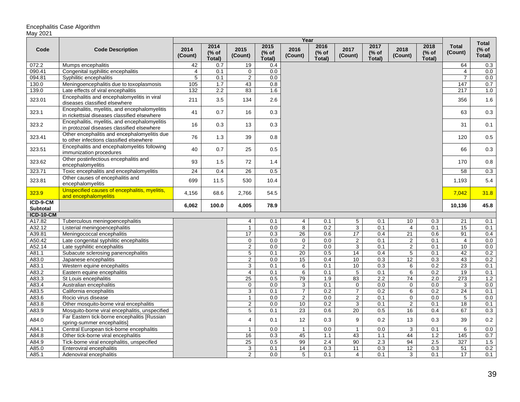#### May 2021

|                             |                                                                                               |                 |                         |                         |                         | Year            |                         |                 |                         |                  |                         |                         | <b>Total</b>    |
|-----------------------------|-----------------------------------------------------------------------------------------------|-----------------|-------------------------|-------------------------|-------------------------|-----------------|-------------------------|-----------------|-------------------------|------------------|-------------------------|-------------------------|-----------------|
| Code                        | <b>Code Description</b>                                                                       | 2014<br>(Count) | 2014<br>(% of<br>Total) | 2015<br>(Count)         | 2015<br>(% of<br>Total) | 2016<br>(Count) | 2016<br>(% of<br>Total) | 2017<br>(Count) | 2017<br>(% of<br>Total) | 2018<br>(Count)  | 2018<br>(% of<br>Total) | <b>Total</b><br>(Count) | (% of<br>Total) |
| 072.2                       | Mumps encephalitis                                                                            | 42              | 0.7                     | 19                      | 0.4                     |                 |                         |                 |                         |                  |                         | 64                      | 0.3             |
| 090.41                      | Congenital syphilitic encephalitis                                                            | 4               | 0.1                     | 0                       | 0.0                     |                 |                         |                 |                         |                  |                         | $\overline{4}$          | 0.0             |
| 094.81                      | Syphilitic encephalitis                                                                       | $\overline{5}$  | 0.1                     | $\overline{\mathbf{c}}$ | 0.0                     |                 |                         |                 |                         |                  |                         | $\overline{7}$          | 0.0             |
| 130.0                       | Meningoencephalitis due to toxoplasmosis                                                      | 105             | 1.7                     | 43                      | 0.8                     |                 |                         |                 |                         |                  |                         | 147                     | 0.7             |
| 139.0                       | Late effects of viral encephalitis                                                            | 132             | 2.2                     | 83                      | 1.6                     |                 |                         |                 |                         |                  |                         | $\overline{217}$        | 1.0             |
| 323.01                      | Encephalitis and encephalomyelitis in viral<br>diseases classified elsewhere                  | 211             | 3.5                     | 134                     | 2.6                     |                 |                         |                 |                         |                  |                         | 356                     | 1.6             |
| 323.1                       | Encephalitis, myelitis, and encephalomyelitis<br>in rickettsial diseases classified elsewhere | 41              | 0.7                     | 16                      | 0.3                     |                 |                         |                 |                         |                  |                         | 63                      | 0.3             |
| 323.2                       | Encephalitis, myelitis, and encephalomyelitis<br>in protozoal diseases classified elsewhere   | 16              | 0.3                     | 13                      | 0.3                     |                 |                         |                 |                         |                  |                         | 31                      | 0.1             |
| 323.41                      | Other encephalitis and encephalomyelitis due<br>to other infections classified elsewhere      | 76              | 1.3                     | 39                      | 0.8                     |                 |                         |                 |                         |                  |                         | 120                     | $0.5\,$         |
| 323.51                      | Encephalitis and encephalomyelitis following<br>immunization procedures                       | 40              | 0.7                     | 25                      | 0.5                     |                 |                         |                 |                         |                  |                         | 66                      | 0.3             |
| 323.62                      | Other postinfectious encephalitis and<br>encephalomyelitis                                    | 93              | 1.5                     | 72                      | 1.4                     |                 |                         |                 |                         |                  |                         | 170                     | 0.8             |
| 323.71                      | Toxic encephalitis and encephalomyelitis                                                      | 24              | 0.4                     | 26                      | 0.5                     |                 |                         |                 |                         |                  |                         | 58                      | 0.3             |
| 323.81                      | Other causes of encephalitis and<br>encephalomyelitis                                         | 699             | 11.5                    | 530                     | 10.4                    |                 |                         |                 |                         |                  |                         | 1,193                   | 5.4             |
| 323.9                       | Unspecified causes of encephalitis, myelitis,<br>and encephalomyelitis                        | 4,156           | 68.6                    | 2,766                   | 54.5                    |                 |                         |                 |                         |                  |                         | 7,042                   | 31.8            |
| ICD-9-CM<br><b>Subtotal</b> |                                                                                               | 6,062           | 100.0                   | 4.005                   | 78.9                    |                 |                         |                 |                         |                  |                         | 10,136                  | 45.8            |
| <b>ICD-10-CM</b>            |                                                                                               |                 |                         |                         |                         |                 |                         |                 |                         |                  |                         |                         |                 |
| A17.82                      | Tuberculous meningoencephalitis                                                               |                 |                         | 4                       | 0.1                     | $\overline{4}$  | 0.1                     | 5               | 0.1                     | 10 <sup>10</sup> | 0.3                     | 21                      | 0.1             |
| A32.12                      | Listerial meningoencephalitis                                                                 |                 |                         | $\mathbf{1}$            | 0.0                     | $\overline{8}$  | 0.2                     | 3               | 0.1                     | $\overline{4}$   | 0.1                     | 15                      | 0.1             |
| A39.81                      | Meningococcal encephalitis                                                                    |                 |                         | 17                      | 0.3                     | $\overline{26}$ | 0.6                     | 17              | 0.4                     | 21               | 0.6                     | 91                      | 0.4             |
| A50.42                      | Late congenital syphilitic encephalitis                                                       |                 |                         | 0                       | 0.0                     | 0               | 0.0                     | $\overline{c}$  | 0.1                     | $\overline{2}$   | 0.1                     | $\overline{4}$          | 0.0             |
| A52.14                      | Late syphilitic encephalitis                                                                  |                 |                         | $\overline{2}$          | 0.0                     | $\overline{2}$  | 0.0                     | 3               | 0.1                     | $\overline{2}$   | 0.1                     | 10                      | 0.0             |
| A81.1                       | Subacute sclerosing panencephalitis                                                           |                 |                         | 5                       | 0.1                     | 20              | 0.5                     | 14              | 0.4                     | $5\overline{)}$  | 0.1                     | 42                      | 0.2             |
| A83.0                       | Japanese encephalitis                                                                         |                 |                         | $\overline{c}$          | 0.0                     | 15              | 0.4                     | 10 <sup>°</sup> | 0.3                     | 12               | 0.3                     | 43                      | 0.2             |
| A83.1                       | Western equine encephalitis                                                                   |                 |                         | 3                       | 0.1                     | 6               | 0.1                     | 10 <sup>°</sup> | 0.3                     | 6                | 0.2                     | 23                      | 0.1             |
| A83.2                       | Eastern equine encephalitis                                                                   |                 |                         | $\overline{4}$          | 0.1                     | 6               | 0.1                     | 5               | 0.1                     | 6                | 0.2                     | 19                      | 0.1             |
| A83.3                       | St Louis encephalitis                                                                         |                 |                         | 25                      | 0.5                     | 79              | 1.9                     | 83              | 2.2                     | 74               | 2.0                     | 273                     | 1.2             |
| A83.4                       | Australian encephalitis                                                                       |                 |                         | $\mathbf 0$             | 0.0                     | $\overline{3}$  | $\overline{0.1}$        | $\overline{0}$  | 0.0                     | $\overline{0}$   | 0.0                     | 3                       | 0.0             |
| A83.5                       | California encephalitis                                                                       |                 |                         | 3                       | 0.1                     | $\overline{7}$  | 0.2                     | $\overline{7}$  | 0.2                     | 6                | 0.2                     | $\overline{24}$         | 0.1             |
| A83.6                       | Rocio virus disease                                                                           |                 |                         | $\mathbf{1}$            | 0.0                     | $\overline{2}$  | 0.0                     | $\overline{2}$  | 0.1                     | $\mathsf{O}$     | 0.0                     | 5                       | 0.0             |
| A83.8                       | Other mosquito-borne viral encephalitis                                                       |                 |                         | $\overline{\mathbf{c}}$ | 0.0                     | 10              | 0.2                     | 3               | 0.1                     | $\overline{2}$   | 0.1                     | 18                      | 0.1             |
| A83.9                       | Mosquito-borne viral encephalitis, unspecified                                                |                 |                         | 5                       | 0.1                     | 23              | 0.6                     | 20              | 0.5                     | 16               | 0.4                     | 67                      | 0.3             |
| A84.0                       | Far Eastern tick-borne encephalitis [Russian<br>spring-summer encephalitis]                   |                 |                         | 4                       | 0.1                     | 12              | 0.3                     | 9               | 0.2                     | 13               | 0.3                     | 39                      | 0.2             |
| A84.1                       | Central European tick-borne encephalitis                                                      |                 |                         | $\mathbf{1}$            | 0.0                     | $\mathbf{1}$    | 0.0                     | $\mathbf{1}$    | 0.0                     | 3                | 0.1                     | 6                       | 0.0             |
| A84.8                       | Other tick-borne viral encephalitis                                                           |                 |                         | 16                      | 0.3                     | 45              | 1.1                     | 43              | 1.1                     | 44               | 1.2                     | 145                     | 0.7             |
| A84.9                       |                                                                                               |                 |                         | 25                      | 0.5                     | 99              | 2.4                     | 90              | 2.3                     | 94               | 2.5                     | 327                     | 1.5             |
|                             | Tick-borne viral encephalitis, unspecified                                                    |                 |                         |                         |                         |                 |                         |                 |                         |                  |                         |                         |                 |
| A85.0<br>A85.1              | Enteroviral encephalitis<br>Adenoviral encephalitis                                           |                 |                         | 3<br>$\overline{2}$     | 0.1<br>0.0              | 14<br>5         | 0.3<br>0.1              | 11<br>4         | 0.3<br>0.1              | 12<br>3          | 0.3<br>0.1              | 51<br>17                | 0.2<br>0.1      |